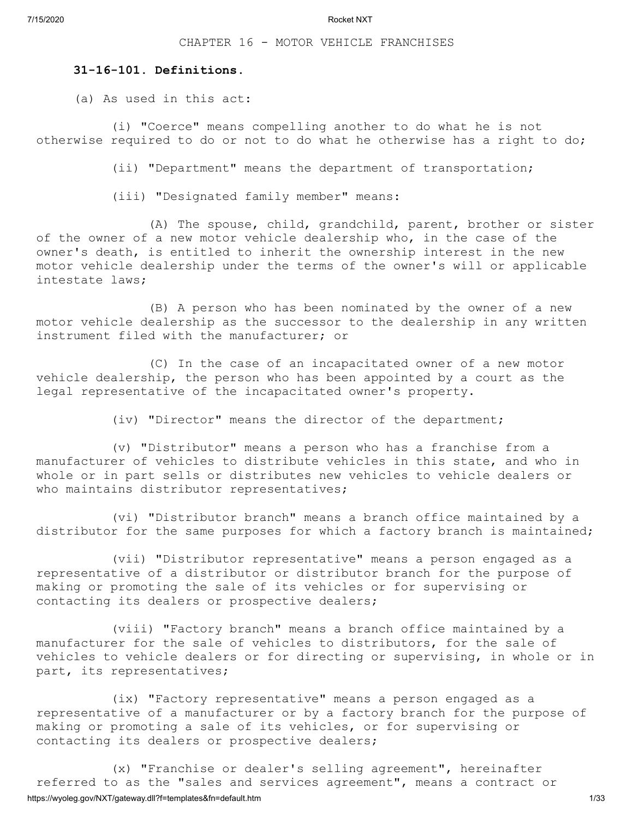CHAPTER 16 - MOTOR VEHICLE FRANCHISES

#### **31-16-101. Definitions.**

(a) As used in this act:

(i) "Coerce" means compelling another to do what he is not otherwise required to do or not to do what he otherwise has a right to do;

(ii) "Department" means the department of transportation;

(iii) "Designated family member" means:

(A) The spouse, child, grandchild, parent, brother or sister of the owner of a new motor vehicle dealership who, in the case of the owner's death, is entitled to inherit the ownership interest in the new motor vehicle dealership under the terms of the owner's will or applicable intestate laws;

(B) A person who has been nominated by the owner of a new motor vehicle dealership as the successor to the dealership in any written instrument filed with the manufacturer; or

(C) In the case of an incapacitated owner of a new motor vehicle dealership, the person who has been appointed by a court as the legal representative of the incapacitated owner's property.

(iv) "Director" means the director of the department;

(v) "Distributor" means a person who has a franchise from a manufacturer of vehicles to distribute vehicles in this state, and who in whole or in part sells or distributes new vehicles to vehicle dealers or who maintains distributor representatives;

(vi) "Distributor branch" means a branch office maintained by a distributor for the same purposes for which a factory branch is maintained;

(vii) "Distributor representative" means a person engaged as a representative of a distributor or distributor branch for the purpose of making or promoting the sale of its vehicles or for supervising or contacting its dealers or prospective dealers;

(viii) "Factory branch" means a branch office maintained by a manufacturer for the sale of vehicles to distributors, for the sale of vehicles to vehicle dealers or for directing or supervising, in whole or in part, its representatives;

(ix) "Factory representative" means a person engaged as a representative of a manufacturer or by a factory branch for the purpose of making or promoting a sale of its vehicles, or for supervising or contacting its dealers or prospective dealers;

https://wyoleg.gov/NXT/gateway.dll?f=templates&fn=default.htm 1/33 (x) "Franchise or dealer's selling agreement", hereinafter referred to as the "sales and services agreement", means a contract or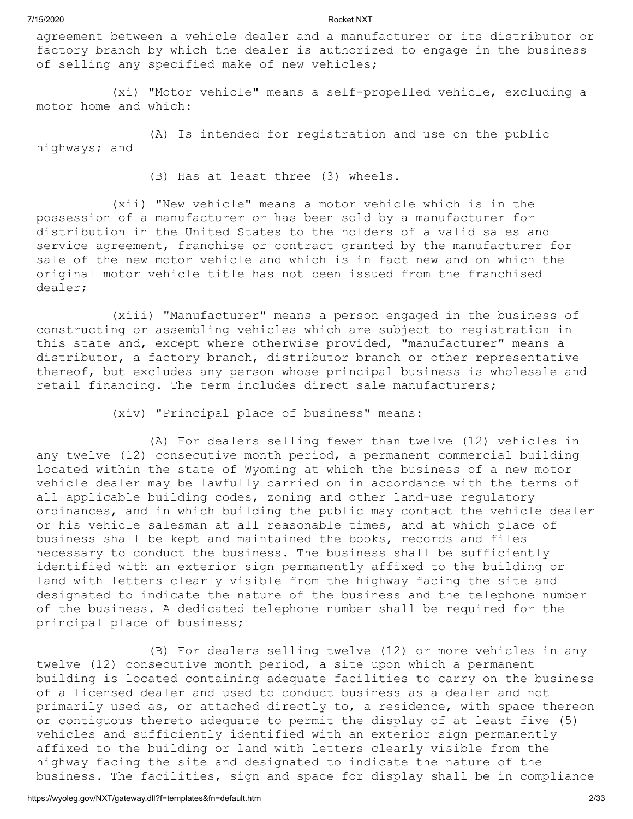agreement between a vehicle dealer and a manufacturer or its distributor or factory branch by which the dealer is authorized to engage in the business of selling any specified make of new vehicles;

(xi) "Motor vehicle" means a self-propelled vehicle, excluding a motor home and which:

(A) Is intended for registration and use on the public highways; and

(B) Has at least three (3) wheels.

(xii) "New vehicle" means a motor vehicle which is in the possession of a manufacturer or has been sold by a manufacturer for distribution in the United States to the holders of a valid sales and service agreement, franchise or contract granted by the manufacturer for sale of the new motor vehicle and which is in fact new and on which the original motor vehicle title has not been issued from the franchised dealer;

(xiii) "Manufacturer" means a person engaged in the business of constructing or assembling vehicles which are subject to registration in this state and, except where otherwise provided, "manufacturer" means a distributor, a factory branch, distributor branch or other representative thereof, but excludes any person whose principal business is wholesale and retail financing. The term includes direct sale manufacturers;

(xiv) "Principal place of business" means:

(A) For dealers selling fewer than twelve (12) vehicles in any twelve (12) consecutive month period, a permanent commercial building located within the state of Wyoming at which the business of a new motor vehicle dealer may be lawfully carried on in accordance with the terms of all applicable building codes, zoning and other land-use regulatory ordinances, and in which building the public may contact the vehicle dealer or his vehicle salesman at all reasonable times, and at which place of business shall be kept and maintained the books, records and files necessary to conduct the business. The business shall be sufficiently identified with an exterior sign permanently affixed to the building or land with letters clearly visible from the highway facing the site and designated to indicate the nature of the business and the telephone number of the business. A dedicated telephone number shall be required for the principal place of business;

(B) For dealers selling twelve (12) or more vehicles in any twelve (12) consecutive month period, a site upon which a permanent building is located containing adequate facilities to carry on the business of a licensed dealer and used to conduct business as a dealer and not primarily used as, or attached directly to, a residence, with space thereon or contiguous thereto adequate to permit the display of at least five (5) vehicles and sufficiently identified with an exterior sign permanently affixed to the building or land with letters clearly visible from the highway facing the site and designated to indicate the nature of the business. The facilities, sign and space for display shall be in compliance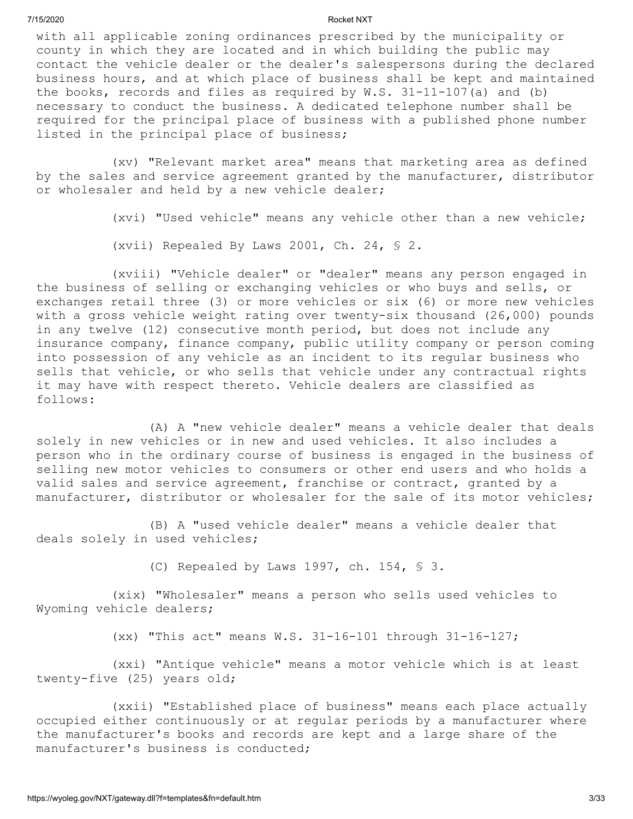with all applicable zoning ordinances prescribed by the municipality or county in which they are located and in which building the public may contact the vehicle dealer or the dealer's salespersons during the declared business hours, and at which place of business shall be kept and maintained the books, records and files as required by W.S. 31-11-107(a) and (b) necessary to conduct the business. A dedicated telephone number shall be required for the principal place of business with a published phone number listed in the principal place of business;

(xv) "Relevant market area" means that marketing area as defined by the sales and service agreement granted by the manufacturer, distributor or wholesaler and held by a new vehicle dealer;

(xvi) "Used vehicle" means any vehicle other than a new vehicle;

(xvii) Repealed By Laws 2001, Ch. 24, § 2.

(xviii) "Vehicle dealer" or "dealer" means any person engaged in the business of selling or exchanging vehicles or who buys and sells, or exchanges retail three (3) or more vehicles or six (6) or more new vehicles with a gross vehicle weight rating over twenty-six thousand (26,000) pounds in any twelve (12) consecutive month period, but does not include any insurance company, finance company, public utility company or person coming into possession of any vehicle as an incident to its regular business who sells that vehicle, or who sells that vehicle under any contractual rights it may have with respect thereto. Vehicle dealers are classified as follows:

(A) A "new vehicle dealer" means a vehicle dealer that deals solely in new vehicles or in new and used vehicles. It also includes a person who in the ordinary course of business is engaged in the business of selling new motor vehicles to consumers or other end users and who holds a valid sales and service agreement, franchise or contract, granted by a manufacturer, distributor or wholesaler for the sale of its motor vehicles;

(B) A "used vehicle dealer" means a vehicle dealer that deals solely in used vehicles;

(C) Repealed by Laws 1997, ch. 154, § 3.

(xix) "Wholesaler" means a person who sells used vehicles to Wyoming vehicle dealers;

(xx) "This act" means W.S. 31-16-101 through 31-16-127;

(xxi) "Antique vehicle" means a motor vehicle which is at least twenty-five (25) years old;

(xxii) "Established place of business" means each place actually occupied either continuously or at regular periods by a manufacturer where the manufacturer's books and records are kept and a large share of the manufacturer's business is conducted;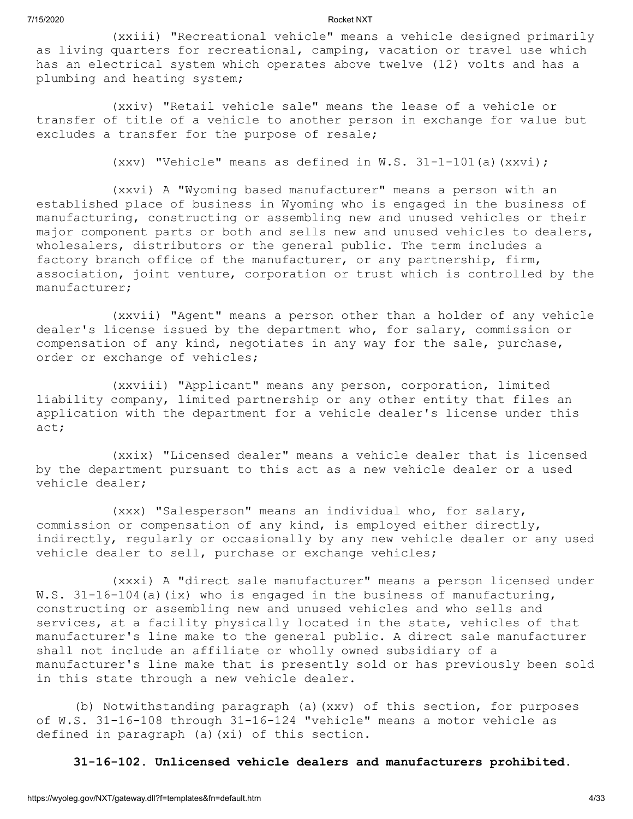(xxiii) "Recreational vehicle" means a vehicle designed primarily as living quarters for recreational, camping, vacation or travel use which has an electrical system which operates above twelve (12) volts and has a plumbing and heating system;

(xxiv) "Retail vehicle sale" means the lease of a vehicle or transfer of title of a vehicle to another person in exchange for value but excludes a transfer for the purpose of resale;

(xxv) "Vehicle" means as defined in W.S. 31-1-101(a)(xxvi);

(xxvi) A "Wyoming based manufacturer" means a person with an established place of business in Wyoming who is engaged in the business of manufacturing, constructing or assembling new and unused vehicles or their major component parts or both and sells new and unused vehicles to dealers, wholesalers, distributors or the general public. The term includes a factory branch office of the manufacturer, or any partnership, firm, association, joint venture, corporation or trust which is controlled by the manufacturer;

(xxvii) "Agent" means a person other than a holder of any vehicle dealer's license issued by the department who, for salary, commission or compensation of any kind, negotiates in any way for the sale, purchase, order or exchange of vehicles;

(xxviii) "Applicant" means any person, corporation, limited liability company, limited partnership or any other entity that files an application with the department for a vehicle dealer's license under this act;

(xxix) "Licensed dealer" means a vehicle dealer that is licensed by the department pursuant to this act as a new vehicle dealer or a used vehicle dealer;

(xxx) "Salesperson" means an individual who, for salary, commission or compensation of any kind, is employed either directly, indirectly, regularly or occasionally by any new vehicle dealer or any used vehicle dealer to sell, purchase or exchange vehicles;

(xxxi) A "direct sale manufacturer" means a person licensed under W.S.  $31-16-104$  (a) (ix) who is engaged in the business of manufacturing, constructing or assembling new and unused vehicles and who sells and services, at a facility physically located in the state, vehicles of that manufacturer's line make to the general public. A direct sale manufacturer shall not include an affiliate or wholly owned subsidiary of a manufacturer's line make that is presently sold or has previously been sold in this state through a new vehicle dealer.

(b) Notwithstanding paragraph (a)(xxv) of this section, for purposes of W.S. 31-16-108 through 31-16-124 "vehicle" means a motor vehicle as defined in paragraph (a)(xi) of this section.

**31-16-102. Unlicensed vehicle dealers and manufacturers prohibited.**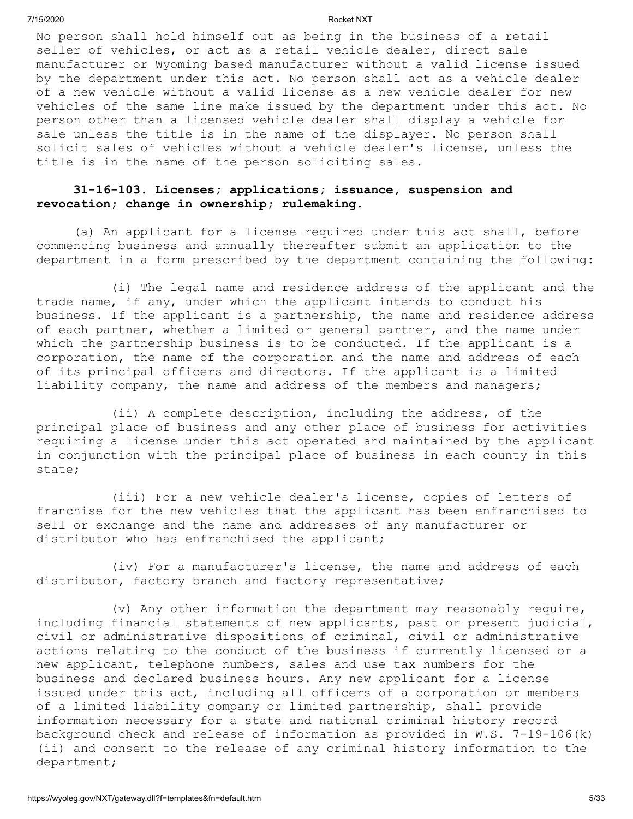No person shall hold himself out as being in the business of a retail seller of vehicles, or act as a retail vehicle dealer, direct sale manufacturer or Wyoming based manufacturer without a valid license issued by the department under this act. No person shall act as a vehicle dealer of a new vehicle without a valid license as a new vehicle dealer for new vehicles of the same line make issued by the department under this act. No person other than a licensed vehicle dealer shall display a vehicle for sale unless the title is in the name of the displayer. No person shall solicit sales of vehicles without a vehicle dealer's license, unless the title is in the name of the person soliciting sales.

# **31-16-103. Licenses; applications; issuance, suspension and revocation; change in ownership; rulemaking.**

(a) An applicant for a license required under this act shall, before commencing business and annually thereafter submit an application to the department in a form prescribed by the department containing the following:

(i) The legal name and residence address of the applicant and the trade name, if any, under which the applicant intends to conduct his business. If the applicant is a partnership, the name and residence address of each partner, whether a limited or general partner, and the name under which the partnership business is to be conducted. If the applicant is a corporation, the name of the corporation and the name and address of each of its principal officers and directors. If the applicant is a limited liability company, the name and address of the members and managers;

(ii) A complete description, including the address, of the principal place of business and any other place of business for activities requiring a license under this act operated and maintained by the applicant in conjunction with the principal place of business in each county in this state;

(iii) For a new vehicle dealer's license, copies of letters of franchise for the new vehicles that the applicant has been enfranchised to sell or exchange and the name and addresses of any manufacturer or distributor who has enfranchised the applicant;

(iv) For a manufacturer's license, the name and address of each distributor, factory branch and factory representative;

(v) Any other information the department may reasonably require, including financial statements of new applicants, past or present judicial, civil or administrative dispositions of criminal, civil or administrative actions relating to the conduct of the business if currently licensed or a new applicant, telephone numbers, sales and use tax numbers for the business and declared business hours. Any new applicant for a license issued under this act, including all officers of a corporation or members of a limited liability company or limited partnership, shall provide information necessary for a state and national criminal history record background check and release of information as provided in W.S. 7-19-106(k) (ii) and consent to the release of any criminal history information to the department;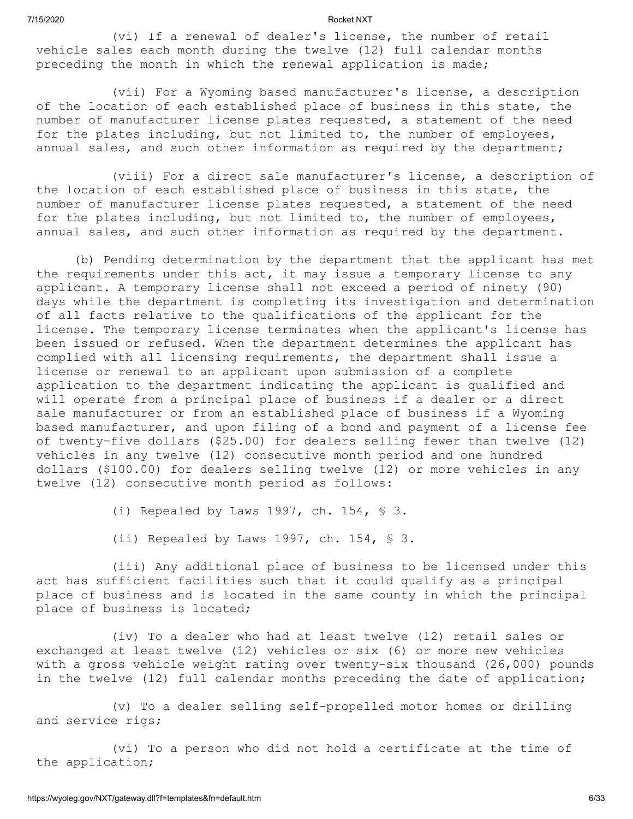(vi) If a renewal of dealer's license, the number of retail vehicle sales each month during the twelve (12) full calendar months preceding the month in which the renewal application is made;

(vii) For a Wyoming based manufacturer's license, a description of the location of each established place of business in this state, the number of manufacturer license plates requested, a statement of the need for the plates including, but not limited to, the number of employees, annual sales, and such other information as required by the department;

(viii) For a direct sale manufacturer's license, a description of the location of each established place of business in this state, the number of manufacturer license plates requested, a statement of the need for the plates including, but not limited to, the number of employees, annual sales, and such other information as required by the department.

(b) Pending determination by the department that the applicant has met the requirements under this act, it may issue a temporary license to any applicant. A temporary license shall not exceed a period of ninety (90) days while the department is completing its investigation and determination of all facts relative to the qualifications of the applicant for the license. The temporary license terminates when the applicant's license has been issued or refused. When the department determines the applicant has complied with all licensing requirements, the department shall issue a license or renewal to an applicant upon submission of a complete application to the department indicating the applicant is qualified and will operate from a principal place of business if a dealer or a direct sale manufacturer or from an established place of business if a Wyoming based manufacturer, and upon filing of a bond and payment of a license fee of twenty-five dollars (\$25.00) for dealers selling fewer than twelve (12) vehicles in any twelve (12) consecutive month period and one hundred dollars (\$100.00) for dealers selling twelve (12) or more vehicles in any twelve (12) consecutive month period as follows:

(i) Repealed by Laws 1997, ch. 154, § 3.

(ii) Repealed by Laws 1997, ch. 154, § 3.

(iii) Any additional place of business to be licensed under this act has sufficient facilities such that it could qualify as a principal place of business and is located in the same county in which the principal place of business is located;

(iv) To a dealer who had at least twelve (12) retail sales or exchanged at least twelve (12) vehicles or six (6) or more new vehicles with a gross vehicle weight rating over twenty-six thousand (26,000) pounds in the twelve (12) full calendar months preceding the date of application;

(v) To a dealer selling self-propelled motor homes or drilling and service rigs;

(vi) To a person who did not hold a certificate at the time of the application;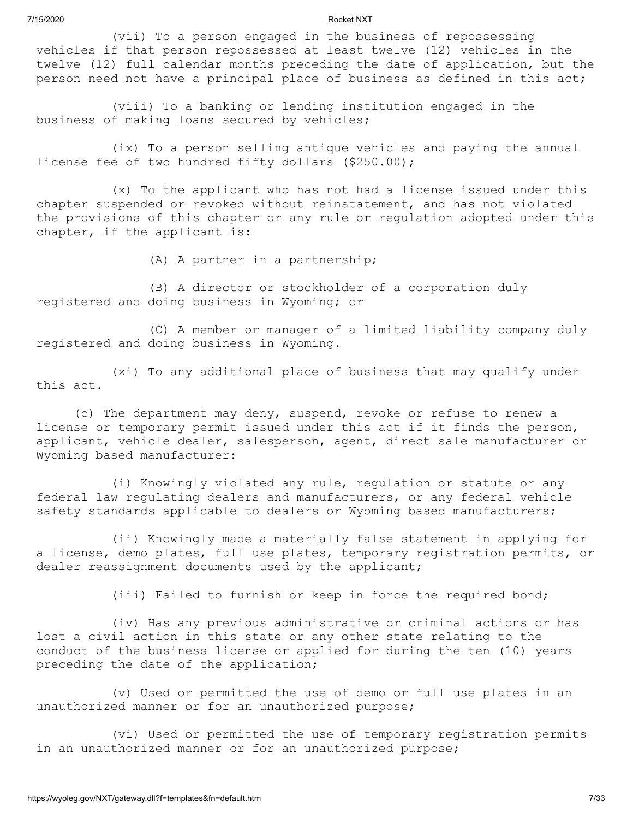(vii) To a person engaged in the business of repossessing vehicles if that person repossessed at least twelve (12) vehicles in the twelve (12) full calendar months preceding the date of application, but the person need not have a principal place of business as defined in this act;

(viii) To a banking or lending institution engaged in the business of making loans secured by vehicles;

(ix) To a person selling antique vehicles and paying the annual license fee of two hundred fifty dollars (\$250.00);

(x) To the applicant who has not had a license issued under this chapter suspended or revoked without reinstatement, and has not violated the provisions of this chapter or any rule or regulation adopted under this chapter, if the applicant is:

(A) A partner in a partnership;

(B) A director or stockholder of a corporation duly registered and doing business in Wyoming; or

(C) A member or manager of a limited liability company duly registered and doing business in Wyoming.

(xi) To any additional place of business that may qualify under this act.

(c) The department may deny, suspend, revoke or refuse to renew a license or temporary permit issued under this act if it finds the person, applicant, vehicle dealer, salesperson, agent, direct sale manufacturer or Wyoming based manufacturer:

(i) Knowingly violated any rule, regulation or statute or any federal law regulating dealers and manufacturers, or any federal vehicle safety standards applicable to dealers or Wyoming based manufacturers;

(ii) Knowingly made a materially false statement in applying for a license, demo plates, full use plates, temporary registration permits, or dealer reassignment documents used by the applicant;

(iii) Failed to furnish or keep in force the required bond;

(iv) Has any previous administrative or criminal actions or has lost a civil action in this state or any other state relating to the conduct of the business license or applied for during the ten (10) years preceding the date of the application;

(v) Used or permitted the use of demo or full use plates in an unauthorized manner or for an unauthorized purpose;

(vi) Used or permitted the use of temporary registration permits in an unauthorized manner or for an unauthorized purpose;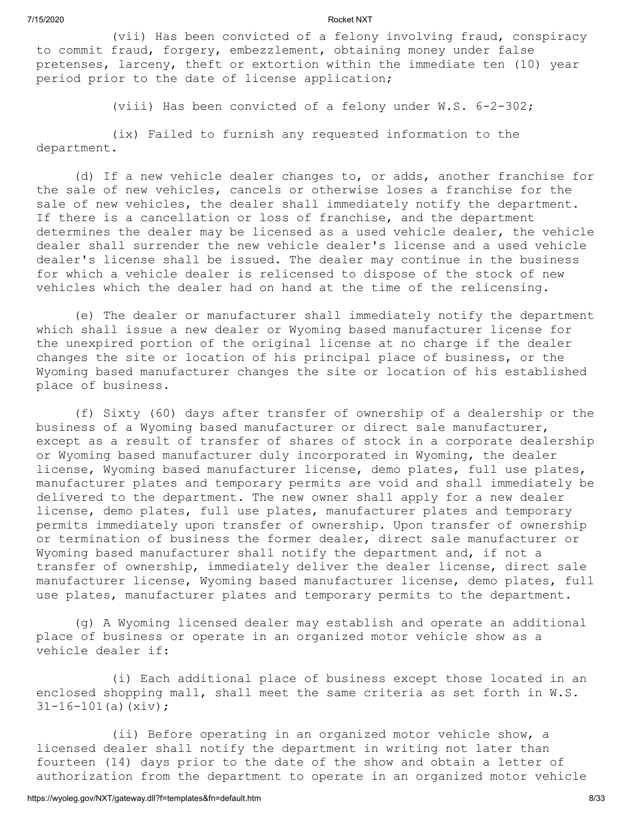(vii) Has been convicted of a felony involving fraud, conspiracy to commit fraud, forgery, embezzlement, obtaining money under false pretenses, larceny, theft or extortion within the immediate ten (10) year period prior to the date of license application;

(viii) Has been convicted of a felony under W.S. 6-2-302;

(ix) Failed to furnish any requested information to the department.

(d) If a new vehicle dealer changes to, or adds, another franchise for the sale of new vehicles, cancels or otherwise loses a franchise for the sale of new vehicles, the dealer shall immediately notify the department. If there is a cancellation or loss of franchise, and the department determines the dealer may be licensed as a used vehicle dealer, the vehicle dealer shall surrender the new vehicle dealer's license and a used vehicle dealer's license shall be issued. The dealer may continue in the business for which a vehicle dealer is relicensed to dispose of the stock of new vehicles which the dealer had on hand at the time of the relicensing.

(e) The dealer or manufacturer shall immediately notify the department which shall issue a new dealer or Wyoming based manufacturer license for the unexpired portion of the original license at no charge if the dealer changes the site or location of his principal place of business, or the Wyoming based manufacturer changes the site or location of his established place of business.

(f) Sixty (60) days after transfer of ownership of a dealership or the business of a Wyoming based manufacturer or direct sale manufacturer, except as a result of transfer of shares of stock in a corporate dealership or Wyoming based manufacturer duly incorporated in Wyoming, the dealer license, Wyoming based manufacturer license, demo plates, full use plates, manufacturer plates and temporary permits are void and shall immediately be delivered to the department. The new owner shall apply for a new dealer license, demo plates, full use plates, manufacturer plates and temporary permits immediately upon transfer of ownership. Upon transfer of ownership or termination of business the former dealer, direct sale manufacturer or Wyoming based manufacturer shall notify the department and, if not a transfer of ownership, immediately deliver the dealer license, direct sale manufacturer license, Wyoming based manufacturer license, demo plates, full use plates, manufacturer plates and temporary permits to the department.

(g) A Wyoming licensed dealer may establish and operate an additional place of business or operate in an organized motor vehicle show as a vehicle dealer if:

(i) Each additional place of business except those located in an enclosed shopping mall, shall meet the same criteria as set forth in W.S.  $31-16-101(a)$  (xiv);

(ii) Before operating in an organized motor vehicle show, a licensed dealer shall notify the department in writing not later than fourteen (14) days prior to the date of the show and obtain a letter of authorization from the department to operate in an organized motor vehicle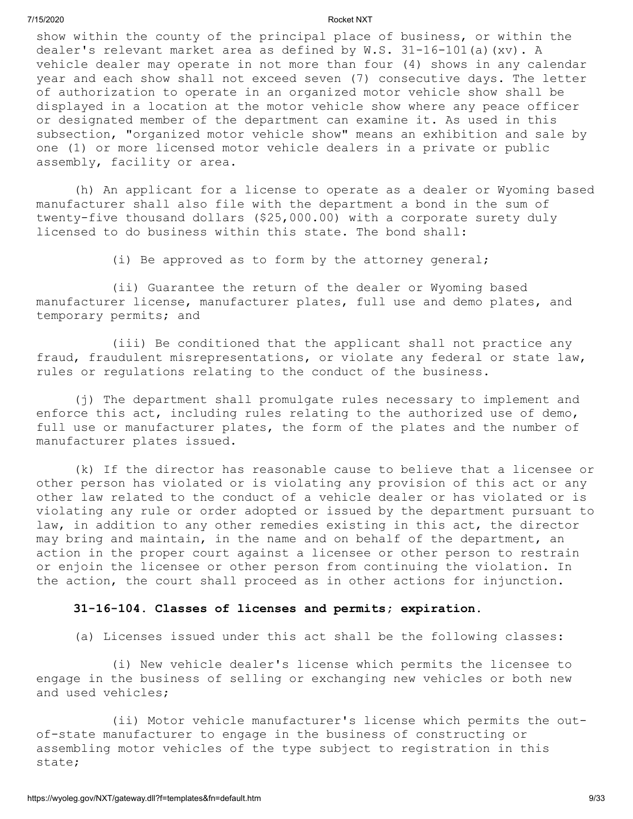show within the county of the principal place of business, or within the dealer's relevant market area as defined by W.S. 31-16-101(a)(xv). A vehicle dealer may operate in not more than four (4) shows in any calendar year and each show shall not exceed seven (7) consecutive days. The letter of authorization to operate in an organized motor vehicle show shall be displayed in a location at the motor vehicle show where any peace officer or designated member of the department can examine it. As used in this subsection, "organized motor vehicle show" means an exhibition and sale by one (1) or more licensed motor vehicle dealers in a private or public assembly, facility or area.

(h) An applicant for a license to operate as a dealer or Wyoming based manufacturer shall also file with the department a bond in the sum of twenty-five thousand dollars (\$25,000.00) with a corporate surety duly licensed to do business within this state. The bond shall:

(i) Be approved as to form by the attorney general;

(ii) Guarantee the return of the dealer or Wyoming based manufacturer license, manufacturer plates, full use and demo plates, and temporary permits; and

(iii) Be conditioned that the applicant shall not practice any fraud, fraudulent misrepresentations, or violate any federal or state law, rules or regulations relating to the conduct of the business.

(j) The department shall promulgate rules necessary to implement and enforce this act, including rules relating to the authorized use of demo, full use or manufacturer plates, the form of the plates and the number of manufacturer plates issued.

(k) If the director has reasonable cause to believe that a licensee or other person has violated or is violating any provision of this act or any other law related to the conduct of a vehicle dealer or has violated or is violating any rule or order adopted or issued by the department pursuant to law, in addition to any other remedies existing in this act, the director may bring and maintain, in the name and on behalf of the department, an action in the proper court against a licensee or other person to restrain or enjoin the licensee or other person from continuing the violation. In the action, the court shall proceed as in other actions for injunction.

### **31-16-104. Classes of licenses and permits; expiration.**

(a) Licenses issued under this act shall be the following classes:

(i) New vehicle dealer's license which permits the licensee to engage in the business of selling or exchanging new vehicles or both new and used vehicles;

(ii) Motor vehicle manufacturer's license which permits the outof-state manufacturer to engage in the business of constructing or assembling motor vehicles of the type subject to registration in this state;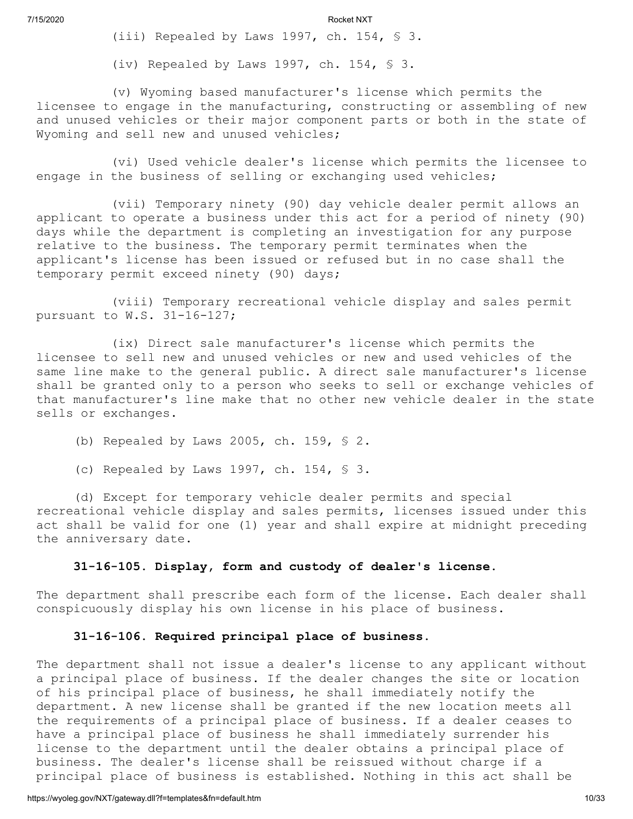(iii) Repealed by Laws 1997, ch. 154, § 3.

(iv) Repealed by Laws 1997, ch. 154, § 3.

(v) Wyoming based manufacturer's license which permits the licensee to engage in the manufacturing, constructing or assembling of new and unused vehicles or their major component parts or both in the state of Wyoming and sell new and unused vehicles;

(vi) Used vehicle dealer's license which permits the licensee to engage in the business of selling or exchanging used vehicles;

(vii) Temporary ninety (90) day vehicle dealer permit allows an applicant to operate a business under this act for a period of ninety (90) days while the department is completing an investigation for any purpose relative to the business. The temporary permit terminates when the applicant's license has been issued or refused but in no case shall the temporary permit exceed ninety (90) days;

(viii) Temporary recreational vehicle display and sales permit pursuant to W.S. 31-16-127;

(ix) Direct sale manufacturer's license which permits the licensee to sell new and unused vehicles or new and used vehicles of the same line make to the general public. A direct sale manufacturer's license shall be granted only to a person who seeks to sell or exchange vehicles of that manufacturer's line make that no other new vehicle dealer in the state sells or exchanges.

(b) Repealed by Laws 2005, ch. 159, § 2.

(c) Repealed by Laws 1997, ch. 154, § 3.

(d) Except for temporary vehicle dealer permits and special recreational vehicle display and sales permits, licenses issued under this act shall be valid for one (1) year and shall expire at midnight preceding the anniversary date.

#### **31-16-105. Display, form and custody of dealer's license.**

The department shall prescribe each form of the license. Each dealer shall conspicuously display his own license in his place of business.

#### **31-16-106. Required principal place of business.**

The department shall not issue a dealer's license to any applicant without a principal place of business. If the dealer changes the site or location of his principal place of business, he shall immediately notify the department. A new license shall be granted if the new location meets all the requirements of a principal place of business. If a dealer ceases to have a principal place of business he shall immediately surrender his license to the department until the dealer obtains a principal place of business. The dealer's license shall be reissued without charge if a principal place of business is established. Nothing in this act shall be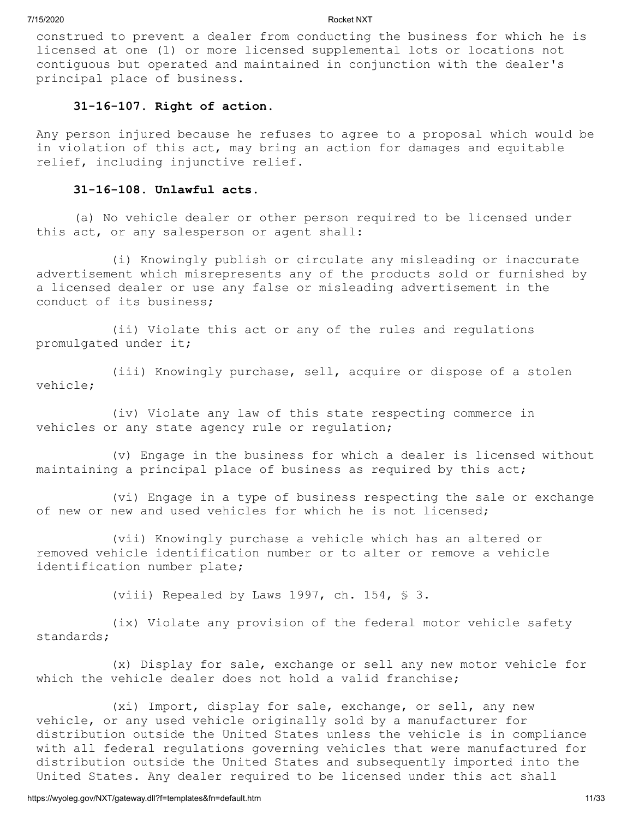construed to prevent a dealer from conducting the business for which he is licensed at one (1) or more licensed supplemental lots or locations not contiguous but operated and maintained in conjunction with the dealer's principal place of business.

#### **31-16-107. Right of action.**

Any person injured because he refuses to agree to a proposal which would be in violation of this act, may bring an action for damages and equitable relief, including injunctive relief.

### **31-16-108. Unlawful acts.**

(a) No vehicle dealer or other person required to be licensed under this act, or any salesperson or agent shall:

(i) Knowingly publish or circulate any misleading or inaccurate advertisement which misrepresents any of the products sold or furnished by a licensed dealer or use any false or misleading advertisement in the conduct of its business;

(ii) Violate this act or any of the rules and regulations promulgated under it;

(iii) Knowingly purchase, sell, acquire or dispose of a stolen vehicle;

(iv) Violate any law of this state respecting commerce in vehicles or any state agency rule or regulation;

(v) Engage in the business for which a dealer is licensed without maintaining a principal place of business as required by this act;

(vi) Engage in a type of business respecting the sale or exchange of new or new and used vehicles for which he is not licensed;

(vii) Knowingly purchase a vehicle which has an altered or removed vehicle identification number or to alter or remove a vehicle identification number plate;

(viii) Repealed by Laws 1997, ch. 154, § 3.

(ix) Violate any provision of the federal motor vehicle safety standards;

(x) Display for sale, exchange or sell any new motor vehicle for which the vehicle dealer does not hold a valid franchise;

(xi) Import, display for sale, exchange, or sell, any new vehicle, or any used vehicle originally sold by a manufacturer for distribution outside the United States unless the vehicle is in compliance with all federal regulations governing vehicles that were manufactured for distribution outside the United States and subsequently imported into the United States. Any dealer required to be licensed under this act shall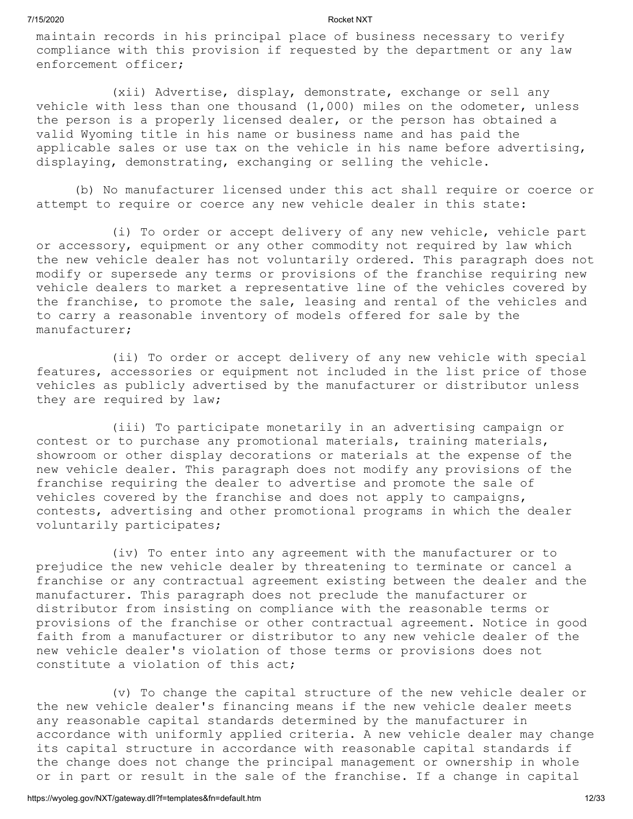maintain records in his principal place of business necessary to verify compliance with this provision if requested by the department or any law enforcement officer;

(xii) Advertise, display, demonstrate, exchange or sell any vehicle with less than one thousand  $(1,000)$  miles on the odometer, unless the person is a properly licensed dealer, or the person has obtained a valid Wyoming title in his name or business name and has paid the applicable sales or use tax on the vehicle in his name before advertising, displaying, demonstrating, exchanging or selling the vehicle.

(b) No manufacturer licensed under this act shall require or coerce or attempt to require or coerce any new vehicle dealer in this state:

(i) To order or accept delivery of any new vehicle, vehicle part or accessory, equipment or any other commodity not required by law which the new vehicle dealer has not voluntarily ordered. This paragraph does not modify or supersede any terms or provisions of the franchise requiring new vehicle dealers to market a representative line of the vehicles covered by the franchise, to promote the sale, leasing and rental of the vehicles and to carry a reasonable inventory of models offered for sale by the manufacturer;

(ii) To order or accept delivery of any new vehicle with special features, accessories or equipment not included in the list price of those vehicles as publicly advertised by the manufacturer or distributor unless they are required by law;

(iii) To participate monetarily in an advertising campaign or contest or to purchase any promotional materials, training materials, showroom or other display decorations or materials at the expense of the new vehicle dealer. This paragraph does not modify any provisions of the franchise requiring the dealer to advertise and promote the sale of vehicles covered by the franchise and does not apply to campaigns, contests, advertising and other promotional programs in which the dealer voluntarily participates;

(iv) To enter into any agreement with the manufacturer or to prejudice the new vehicle dealer by threatening to terminate or cancel a franchise or any contractual agreement existing between the dealer and the manufacturer. This paragraph does not preclude the manufacturer or distributor from insisting on compliance with the reasonable terms or provisions of the franchise or other contractual agreement. Notice in good faith from a manufacturer or distributor to any new vehicle dealer of the new vehicle dealer's violation of those terms or provisions does not constitute a violation of this act;

(v) To change the capital structure of the new vehicle dealer or the new vehicle dealer's financing means if the new vehicle dealer meets any reasonable capital standards determined by the manufacturer in accordance with uniformly applied criteria. A new vehicle dealer may change its capital structure in accordance with reasonable capital standards if the change does not change the principal management or ownership in whole or in part or result in the sale of the franchise. If a change in capital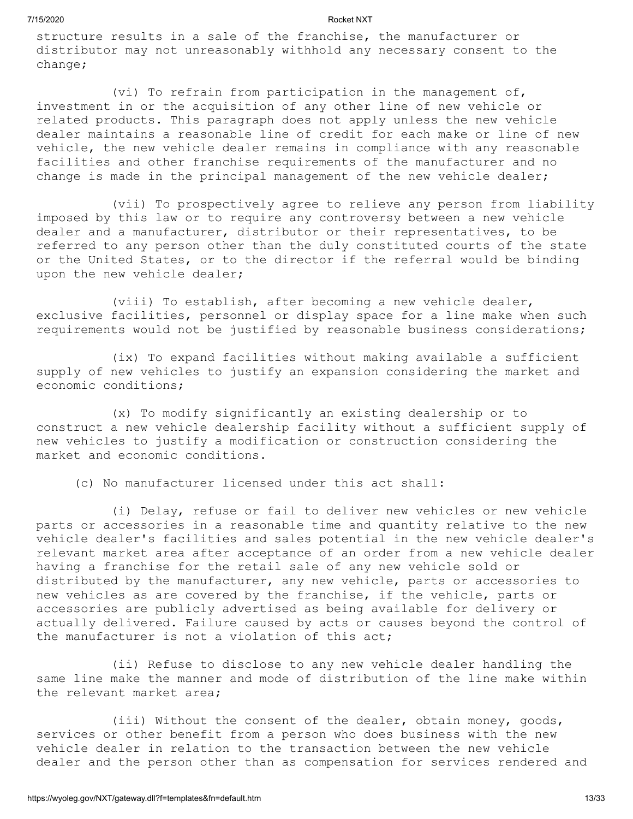structure results in a sale of the franchise, the manufacturer or distributor may not unreasonably withhold any necessary consent to the change;

(vi) To refrain from participation in the management of, investment in or the acquisition of any other line of new vehicle or related products. This paragraph does not apply unless the new vehicle dealer maintains a reasonable line of credit for each make or line of new vehicle, the new vehicle dealer remains in compliance with any reasonable facilities and other franchise requirements of the manufacturer and no change is made in the principal management of the new vehicle dealer;

(vii) To prospectively agree to relieve any person from liability imposed by this law or to require any controversy between a new vehicle dealer and a manufacturer, distributor or their representatives, to be referred to any person other than the duly constituted courts of the state or the United States, or to the director if the referral would be binding upon the new vehicle dealer;

(viii) To establish, after becoming a new vehicle dealer, exclusive facilities, personnel or display space for a line make when such requirements would not be justified by reasonable business considerations;

(ix) To expand facilities without making available a sufficient supply of new vehicles to justify an expansion considering the market and economic conditions;

(x) To modify significantly an existing dealership or to construct a new vehicle dealership facility without a sufficient supply of new vehicles to justify a modification or construction considering the market and economic conditions.

(c) No manufacturer licensed under this act shall:

(i) Delay, refuse or fail to deliver new vehicles or new vehicle parts or accessories in a reasonable time and quantity relative to the new vehicle dealer's facilities and sales potential in the new vehicle dealer's relevant market area after acceptance of an order from a new vehicle dealer having a franchise for the retail sale of any new vehicle sold or distributed by the manufacturer, any new vehicle, parts or accessories to new vehicles as are covered by the franchise, if the vehicle, parts or accessories are publicly advertised as being available for delivery or actually delivered. Failure caused by acts or causes beyond the control of the manufacturer is not a violation of this act;

(ii) Refuse to disclose to any new vehicle dealer handling the same line make the manner and mode of distribution of the line make within the relevant market area;

(iii) Without the consent of the dealer, obtain money, goods, services or other benefit from a person who does business with the new vehicle dealer in relation to the transaction between the new vehicle dealer and the person other than as compensation for services rendered and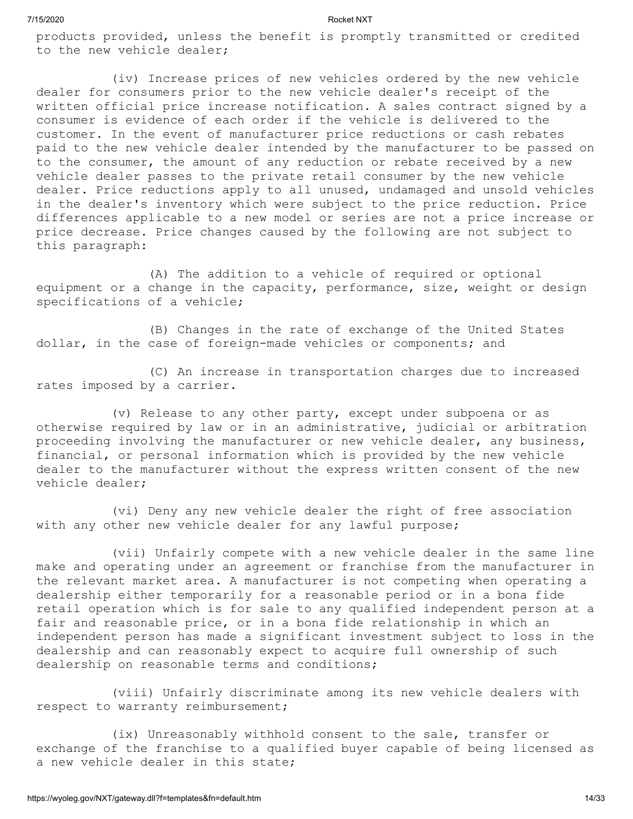products provided, unless the benefit is promptly transmitted or credited to the new vehicle dealer;

(iv) Increase prices of new vehicles ordered by the new vehicle dealer for consumers prior to the new vehicle dealer's receipt of the written official price increase notification. A sales contract signed by a consumer is evidence of each order if the vehicle is delivered to the customer. In the event of manufacturer price reductions or cash rebates paid to the new vehicle dealer intended by the manufacturer to be passed on to the consumer, the amount of any reduction or rebate received by a new vehicle dealer passes to the private retail consumer by the new vehicle dealer. Price reductions apply to all unused, undamaged and unsold vehicles in the dealer's inventory which were subject to the price reduction. Price differences applicable to a new model or series are not a price increase or price decrease. Price changes caused by the following are not subject to this paragraph:

(A) The addition to a vehicle of required or optional equipment or a change in the capacity, performance, size, weight or design specifications of a vehicle;

(B) Changes in the rate of exchange of the United States dollar, in the case of foreign-made vehicles or components; and

(C) An increase in transportation charges due to increased rates imposed by a carrier.

(v) Release to any other party, except under subpoena or as otherwise required by law or in an administrative, judicial or arbitration proceeding involving the manufacturer or new vehicle dealer, any business, financial, or personal information which is provided by the new vehicle dealer to the manufacturer without the express written consent of the new vehicle dealer;

(vi) Deny any new vehicle dealer the right of free association with any other new vehicle dealer for any lawful purpose;

(vii) Unfairly compete with a new vehicle dealer in the same line make and operating under an agreement or franchise from the manufacturer in the relevant market area. A manufacturer is not competing when operating a dealership either temporarily for a reasonable period or in a bona fide retail operation which is for sale to any qualified independent person at a fair and reasonable price, or in a bona fide relationship in which an independent person has made a significant investment subject to loss in the dealership and can reasonably expect to acquire full ownership of such dealership on reasonable terms and conditions;

(viii) Unfairly discriminate among its new vehicle dealers with respect to warranty reimbursement;

(ix) Unreasonably withhold consent to the sale, transfer or exchange of the franchise to a qualified buyer capable of being licensed as a new vehicle dealer in this state;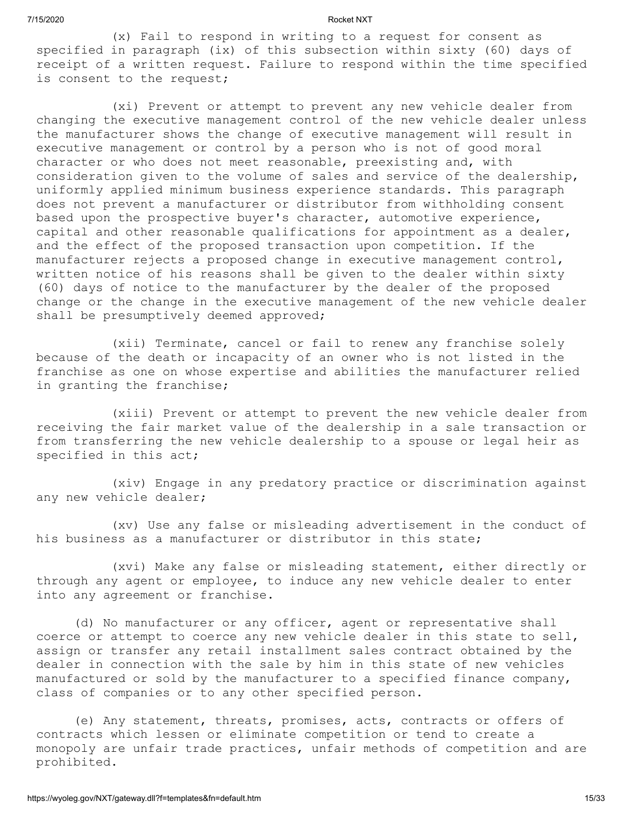(x) Fail to respond in writing to a request for consent as specified in paragraph (ix) of this subsection within sixty (60) days of receipt of a written request. Failure to respond within the time specified is consent to the request;

(xi) Prevent or attempt to prevent any new vehicle dealer from changing the executive management control of the new vehicle dealer unless the manufacturer shows the change of executive management will result in executive management or control by a person who is not of good moral character or who does not meet reasonable, preexisting and, with consideration given to the volume of sales and service of the dealership, uniformly applied minimum business experience standards. This paragraph does not prevent a manufacturer or distributor from withholding consent based upon the prospective buyer's character, automotive experience, capital and other reasonable qualifications for appointment as a dealer, and the effect of the proposed transaction upon competition. If the manufacturer rejects a proposed change in executive management control, written notice of his reasons shall be given to the dealer within sixty (60) days of notice to the manufacturer by the dealer of the proposed change or the change in the executive management of the new vehicle dealer shall be presumptively deemed approved;

(xii) Terminate, cancel or fail to renew any franchise solely because of the death or incapacity of an owner who is not listed in the franchise as one on whose expertise and abilities the manufacturer relied in granting the franchise;

(xiii) Prevent or attempt to prevent the new vehicle dealer from receiving the fair market value of the dealership in a sale transaction or from transferring the new vehicle dealership to a spouse or legal heir as specified in this act;

(xiv) Engage in any predatory practice or discrimination against any new vehicle dealer;

(xv) Use any false or misleading advertisement in the conduct of his business as a manufacturer or distributor in this state;

(xvi) Make any false or misleading statement, either directly or through any agent or employee, to induce any new vehicle dealer to enter into any agreement or franchise.

(d) No manufacturer or any officer, agent or representative shall coerce or attempt to coerce any new vehicle dealer in this state to sell, assign or transfer any retail installment sales contract obtained by the dealer in connection with the sale by him in this state of new vehicles manufactured or sold by the manufacturer to a specified finance company, class of companies or to any other specified person.

(e) Any statement, threats, promises, acts, contracts or offers of contracts which lessen or eliminate competition or tend to create a monopoly are unfair trade practices, unfair methods of competition and are prohibited.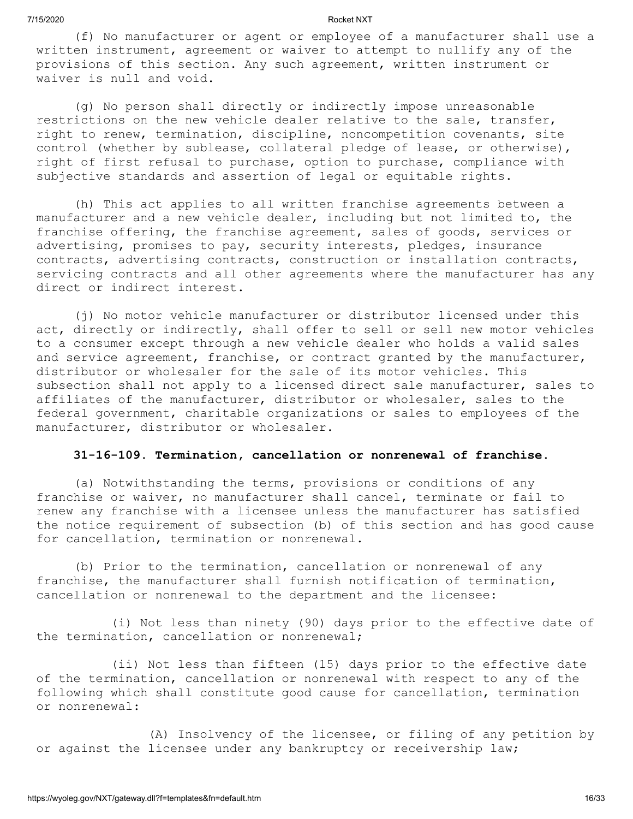(f) No manufacturer or agent or employee of a manufacturer shall use a written instrument, agreement or waiver to attempt to nullify any of the provisions of this section. Any such agreement, written instrument or waiver is null and void.

(g) No person shall directly or indirectly impose unreasonable restrictions on the new vehicle dealer relative to the sale, transfer, right to renew, termination, discipline, noncompetition covenants, site control (whether by sublease, collateral pledge of lease, or otherwise), right of first refusal to purchase, option to purchase, compliance with subjective standards and assertion of legal or equitable rights.

(h) This act applies to all written franchise agreements between a manufacturer and a new vehicle dealer, including but not limited to, the franchise offering, the franchise agreement, sales of goods, services or advertising, promises to pay, security interests, pledges, insurance contracts, advertising contracts, construction or installation contracts, servicing contracts and all other agreements where the manufacturer has any direct or indirect interest.

(j) No motor vehicle manufacturer or distributor licensed under this act, directly or indirectly, shall offer to sell or sell new motor vehicles to a consumer except through a new vehicle dealer who holds a valid sales and service agreement, franchise, or contract granted by the manufacturer, distributor or wholesaler for the sale of its motor vehicles. This subsection shall not apply to a licensed direct sale manufacturer, sales to affiliates of the manufacturer, distributor or wholesaler, sales to the federal government, charitable organizations or sales to employees of the manufacturer, distributor or wholesaler.

### **31-16-109. Termination, cancellation or nonrenewal of franchise.**

(a) Notwithstanding the terms, provisions or conditions of any franchise or waiver, no manufacturer shall cancel, terminate or fail to renew any franchise with a licensee unless the manufacturer has satisfied the notice requirement of subsection (b) of this section and has good cause for cancellation, termination or nonrenewal.

(b) Prior to the termination, cancellation or nonrenewal of any franchise, the manufacturer shall furnish notification of termination, cancellation or nonrenewal to the department and the licensee:

(i) Not less than ninety (90) days prior to the effective date of the termination, cancellation or nonrenewal;

(ii) Not less than fifteen (15) days prior to the effective date of the termination, cancellation or nonrenewal with respect to any of the following which shall constitute good cause for cancellation, termination or nonrenewal:

(A) Insolvency of the licensee, or filing of any petition by or against the licensee under any bankruptcy or receivership law;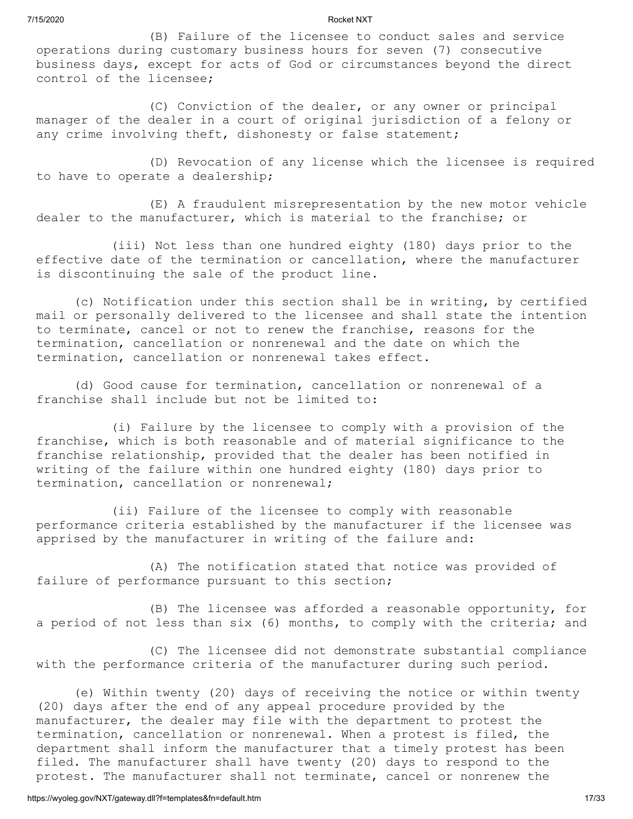(B) Failure of the licensee to conduct sales and service operations during customary business hours for seven (7) consecutive business days, except for acts of God or circumstances beyond the direct control of the licensee;

(C) Conviction of the dealer, or any owner or principal manager of the dealer in a court of original jurisdiction of a felony or any crime involving theft, dishonesty or false statement;

(D) Revocation of any license which the licensee is required to have to operate a dealership;

(E) A fraudulent misrepresentation by the new motor vehicle dealer to the manufacturer, which is material to the franchise; or

(iii) Not less than one hundred eighty (180) days prior to the effective date of the termination or cancellation, where the manufacturer is discontinuing the sale of the product line.

(c) Notification under this section shall be in writing, by certified mail or personally delivered to the licensee and shall state the intention to terminate, cancel or not to renew the franchise, reasons for the termination, cancellation or nonrenewal and the date on which the termination, cancellation or nonrenewal takes effect.

(d) Good cause for termination, cancellation or nonrenewal of a franchise shall include but not be limited to:

(i) Failure by the licensee to comply with a provision of the franchise, which is both reasonable and of material significance to the franchise relationship, provided that the dealer has been notified in writing of the failure within one hundred eighty (180) days prior to termination, cancellation or nonrenewal;

(ii) Failure of the licensee to comply with reasonable performance criteria established by the manufacturer if the licensee was apprised by the manufacturer in writing of the failure and:

(A) The notification stated that notice was provided of failure of performance pursuant to this section;

(B) The licensee was afforded a reasonable opportunity, for a period of not less than six (6) months, to comply with the criteria; and

(C) The licensee did not demonstrate substantial compliance with the performance criteria of the manufacturer during such period.

(e) Within twenty (20) days of receiving the notice or within twenty (20) days after the end of any appeal procedure provided by the manufacturer, the dealer may file with the department to protest the termination, cancellation or nonrenewal. When a protest is filed, the department shall inform the manufacturer that a timely protest has been filed. The manufacturer shall have twenty (20) days to respond to the protest. The manufacturer shall not terminate, cancel or nonrenew the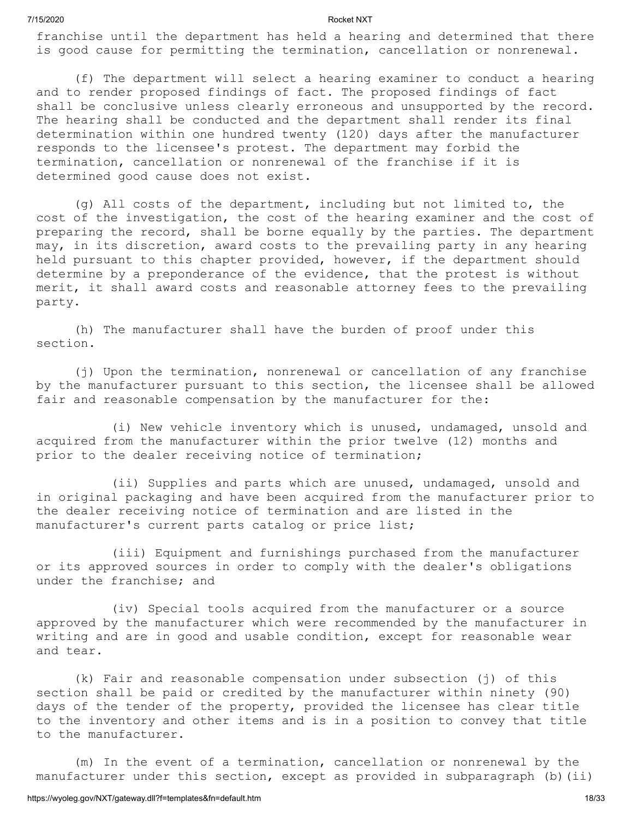# under the franchise; and

(iv) Special tools acquired from the manufacturer or a source approved by the manufacturer which were recommended by the manufacturer in writing and are in good and usable condition, except for reasonable wear and tear.

or its approved sources in order to comply with the dealer's obligations

(k) Fair and reasonable compensation under subsection (j) of this section shall be paid or credited by the manufacturer within ninety (90) days of the tender of the property, provided the licensee has clear title to the inventory and other items and is in a position to convey that title to the manufacturer.

(m) In the event of a termination, cancellation or nonrenewal by the manufacturer under this section, except as provided in subparagraph (b)(ii)

franchise until the department has held a hearing and determined that there is good cause for permitting the termination, cancellation or nonrenewal.

(f) The department will select a hearing examiner to conduct a hearing and to render proposed findings of fact. The proposed findings of fact shall be conclusive unless clearly erroneous and unsupported by the record. The hearing shall be conducted and the department shall render its final determination within one hundred twenty (120) days after the manufacturer responds to the licensee's protest. The department may forbid the termination, cancellation or nonrenewal of the franchise if it is determined good cause does not exist.

(g) All costs of the department, including but not limited to, the cost of the investigation, the cost of the hearing examiner and the cost of preparing the record, shall be borne equally by the parties. The department may, in its discretion, award costs to the prevailing party in any hearing held pursuant to this chapter provided, however, if the department should determine by a preponderance of the evidence, that the protest is without merit, it shall award costs and reasonable attorney fees to the prevailing party.

(h) The manufacturer shall have the burden of proof under this section.

(j) Upon the termination, nonrenewal or cancellation of any franchise by the manufacturer pursuant to this section, the licensee shall be allowed fair and reasonable compensation by the manufacturer for the:

(i) New vehicle inventory which is unused, undamaged, unsold and acquired from the manufacturer within the prior twelve (12) months and prior to the dealer receiving notice of termination;

(ii) Supplies and parts which are unused, undamaged, unsold and in original packaging and have been acquired from the manufacturer prior to the dealer receiving notice of termination and are listed in the manufacturer's current parts catalog or price list;

(iii) Equipment and furnishings purchased from the manufacturer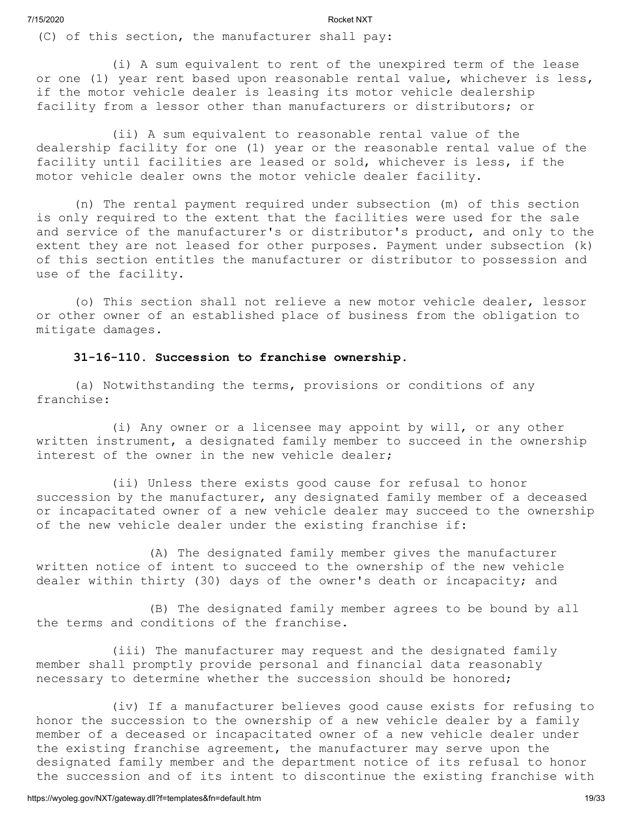(C) of this section, the manufacturer shall pay:

(i) A sum equivalent to rent of the unexpired term of the lease or one (1) year rent based upon reasonable rental value, whichever is less, if the motor vehicle dealer is leasing its motor vehicle dealership facility from a lessor other than manufacturers or distributors; or

(ii) A sum equivalent to reasonable rental value of the dealership facility for one (1) year or the reasonable rental value of the facility until facilities are leased or sold, whichever is less, if the motor vehicle dealer owns the motor vehicle dealer facility.

(n) The rental payment required under subsection (m) of this section is only required to the extent that the facilities were used for the sale and service of the manufacturer's or distributor's product, and only to the extent they are not leased for other purposes. Payment under subsection (k) of this section entitles the manufacturer or distributor to possession and use of the facility.

(o) This section shall not relieve a new motor vehicle dealer, lessor or other owner of an established place of business from the obligation to mitigate damages.

#### **31-16-110. Succession to franchise ownership.**

(a) Notwithstanding the terms, provisions or conditions of any franchise:

(i) Any owner or a licensee may appoint by will, or any other written instrument, a designated family member to succeed in the ownership interest of the owner in the new vehicle dealer;

(ii) Unless there exists good cause for refusal to honor succession by the manufacturer, any designated family member of a deceased or incapacitated owner of a new vehicle dealer may succeed to the ownership of the new vehicle dealer under the existing franchise if:

(A) The designated family member gives the manufacturer written notice of intent to succeed to the ownership of the new vehicle dealer within thirty (30) days of the owner's death or incapacity; and

(B) The designated family member agrees to be bound by all the terms and conditions of the franchise.

(iii) The manufacturer may request and the designated family member shall promptly provide personal and financial data reasonably necessary to determine whether the succession should be honored;

(iv) If a manufacturer believes good cause exists for refusing to honor the succession to the ownership of a new vehicle dealer by a family member of a deceased or incapacitated owner of a new vehicle dealer under the existing franchise agreement, the manufacturer may serve upon the designated family member and the department notice of its refusal to honor the succession and of its intent to discontinue the existing franchise with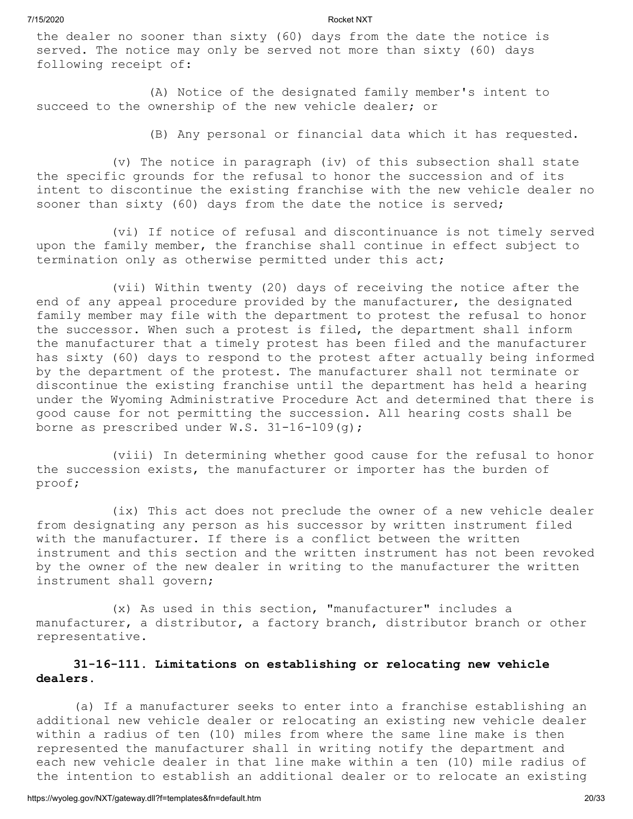the dealer no sooner than sixty (60) days from the date the notice is served. The notice may only be served not more than sixty (60) days following receipt of:

(A) Notice of the designated family member's intent to succeed to the ownership of the new vehicle dealer; or

(B) Any personal or financial data which it has requested.

(v) The notice in paragraph (iv) of this subsection shall state the specific grounds for the refusal to honor the succession and of its intent to discontinue the existing franchise with the new vehicle dealer no sooner than sixty (60) days from the date the notice is served;

(vi) If notice of refusal and discontinuance is not timely served upon the family member, the franchise shall continue in effect subject to termination only as otherwise permitted under this act;

(vii) Within twenty (20) days of receiving the notice after the end of any appeal procedure provided by the manufacturer, the designated family member may file with the department to protest the refusal to honor the successor. When such a protest is filed, the department shall inform the manufacturer that a timely protest has been filed and the manufacturer has sixty (60) days to respond to the protest after actually being informed by the department of the protest. The manufacturer shall not terminate or discontinue the existing franchise until the department has held a hearing under the Wyoming Administrative Procedure Act and determined that there is good cause for not permitting the succession. All hearing costs shall be borne as prescribed under  $W.S. 31-16-109(q);$ 

(viii) In determining whether good cause for the refusal to honor the succession exists, the manufacturer or importer has the burden of proof;

(ix) This act does not preclude the owner of a new vehicle dealer from designating any person as his successor by written instrument filed with the manufacturer. If there is a conflict between the written instrument and this section and the written instrument has not been revoked by the owner of the new dealer in writing to the manufacturer the written instrument shall govern;

(x) As used in this section, "manufacturer" includes a manufacturer, a distributor, a factory branch, distributor branch or other representative.

# **31-16-111. Limitations on establishing or relocating new vehicle dealers.**

(a) If a manufacturer seeks to enter into a franchise establishing an additional new vehicle dealer or relocating an existing new vehicle dealer within a radius of ten (10) miles from where the same line make is then represented the manufacturer shall in writing notify the department and each new vehicle dealer in that line make within a ten (10) mile radius of the intention to establish an additional dealer or to relocate an existing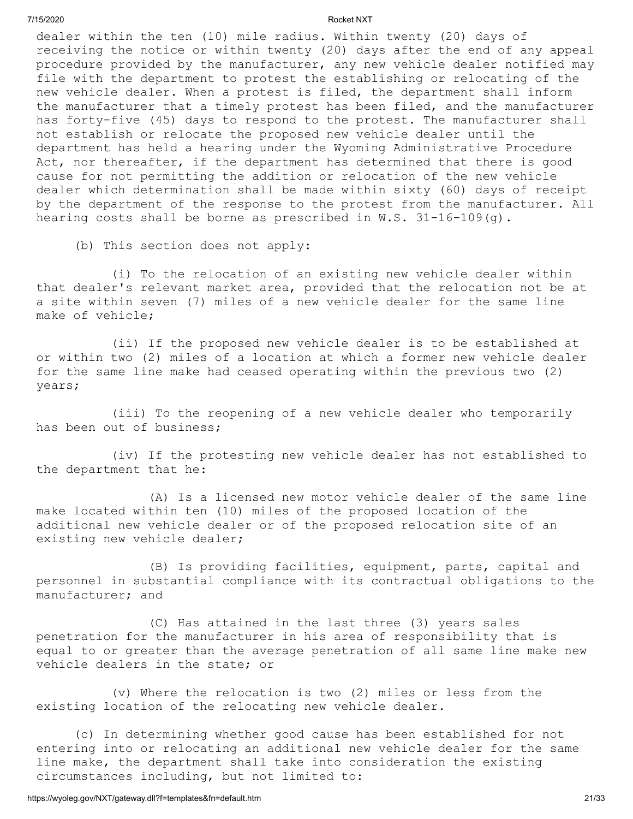dealer within the ten (10) mile radius. Within twenty (20) days of receiving the notice or within twenty (20) days after the end of any appeal procedure provided by the manufacturer, any new vehicle dealer notified may file with the department to protest the establishing or relocating of the new vehicle dealer. When a protest is filed, the department shall inform the manufacturer that a timely protest has been filed, and the manufacturer has forty-five (45) days to respond to the protest. The manufacturer shall not establish or relocate the proposed new vehicle dealer until the department has held a hearing under the Wyoming Administrative Procedure Act, nor thereafter, if the department has determined that there is good cause for not permitting the addition or relocation of the new vehicle dealer which determination shall be made within sixty (60) days of receipt by the department of the response to the protest from the manufacturer. All hearing costs shall be borne as prescribed in W.S. 31-16-109(g).

(b) This section does not apply:

(i) To the relocation of an existing new vehicle dealer within that dealer's relevant market area, provided that the relocation not be at a site within seven (7) miles of a new vehicle dealer for the same line make of vehicle;

(ii) If the proposed new vehicle dealer is to be established at or within two (2) miles of a location at which a former new vehicle dealer for the same line make had ceased operating within the previous two (2) years;

(iii) To the reopening of a new vehicle dealer who temporarily has been out of business;

(iv) If the protesting new vehicle dealer has not established to the department that he:

(A) Is a licensed new motor vehicle dealer of the same line make located within ten (10) miles of the proposed location of the additional new vehicle dealer or of the proposed relocation site of an existing new vehicle dealer;

(B) Is providing facilities, equipment, parts, capital and personnel in substantial compliance with its contractual obligations to the manufacturer; and

(C) Has attained in the last three (3) years sales penetration for the manufacturer in his area of responsibility that is equal to or greater than the average penetration of all same line make new vehicle dealers in the state; or

(v) Where the relocation is two (2) miles or less from the existing location of the relocating new vehicle dealer.

(c) In determining whether good cause has been established for not entering into or relocating an additional new vehicle dealer for the same line make, the department shall take into consideration the existing circumstances including, but not limited to: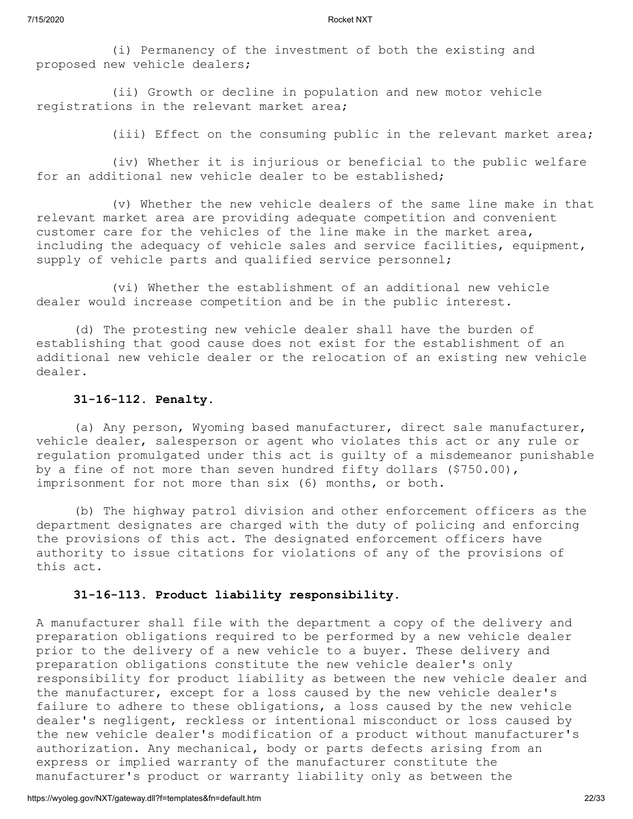(i) Permanency of the investment of both the existing and proposed new vehicle dealers;

(ii) Growth or decline in population and new motor vehicle registrations in the relevant market area;

(iii) Effect on the consuming public in the relevant market area;

(iv) Whether it is injurious or beneficial to the public welfare for an additional new vehicle dealer to be established;

(v) Whether the new vehicle dealers of the same line make in that relevant market area are providing adequate competition and convenient customer care for the vehicles of the line make in the market area, including the adequacy of vehicle sales and service facilities, equipment, supply of vehicle parts and qualified service personnel;

(vi) Whether the establishment of an additional new vehicle dealer would increase competition and be in the public interest.

(d) The protesting new vehicle dealer shall have the burden of establishing that good cause does not exist for the establishment of an additional new vehicle dealer or the relocation of an existing new vehicle dealer.

### **31-16-112. Penalty.**

(a) Any person, Wyoming based manufacturer, direct sale manufacturer, vehicle dealer, salesperson or agent who violates this act or any rule or regulation promulgated under this act is guilty of a misdemeanor punishable by a fine of not more than seven hundred fifty dollars (\$750.00), imprisonment for not more than six (6) months, or both.

(b) The highway patrol division and other enforcement officers as the department designates are charged with the duty of policing and enforcing the provisions of this act. The designated enforcement officers have authority to issue citations for violations of any of the provisions of this act.

#### **31-16-113. Product liability responsibility.**

A manufacturer shall file with the department a copy of the delivery and preparation obligations required to be performed by a new vehicle dealer prior to the delivery of a new vehicle to a buyer. These delivery and preparation obligations constitute the new vehicle dealer's only responsibility for product liability as between the new vehicle dealer and the manufacturer, except for a loss caused by the new vehicle dealer's failure to adhere to these obligations, a loss caused by the new vehicle dealer's negligent, reckless or intentional misconduct or loss caused by the new vehicle dealer's modification of a product without manufacturer's authorization. Any mechanical, body or parts defects arising from an express or implied warranty of the manufacturer constitute the manufacturer's product or warranty liability only as between the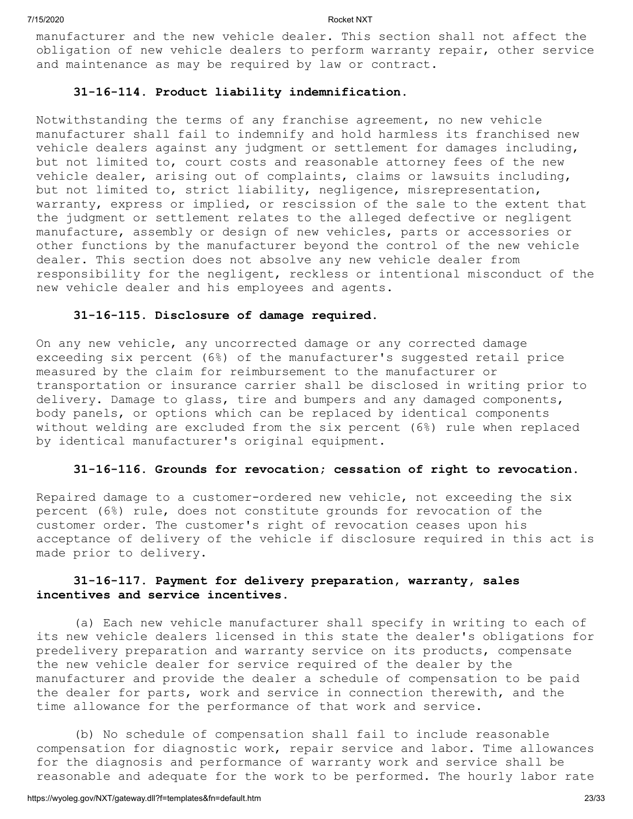manufacturer and the new vehicle dealer. This section shall not affect the obligation of new vehicle dealers to perform warranty repair, other service and maintenance as may be required by law or contract.

#### **31-16-114. Product liability indemnification.**

Notwithstanding the terms of any franchise agreement, no new vehicle manufacturer shall fail to indemnify and hold harmless its franchised new vehicle dealers against any judgment or settlement for damages including, but not limited to, court costs and reasonable attorney fees of the new vehicle dealer, arising out of complaints, claims or lawsuits including, but not limited to, strict liability, negligence, misrepresentation, warranty, express or implied, or rescission of the sale to the extent that the judgment or settlement relates to the alleged defective or negligent manufacture, assembly or design of new vehicles, parts or accessories or other functions by the manufacturer beyond the control of the new vehicle dealer. This section does not absolve any new vehicle dealer from responsibility for the negligent, reckless or intentional misconduct of the new vehicle dealer and his employees and agents.

### **31-16-115. Disclosure of damage required.**

On any new vehicle, any uncorrected damage or any corrected damage exceeding six percent (6%) of the manufacturer's suggested retail price measured by the claim for reimbursement to the manufacturer or transportation or insurance carrier shall be disclosed in writing prior to delivery. Damage to glass, tire and bumpers and any damaged components, body panels, or options which can be replaced by identical components without welding are excluded from the six percent (6%) rule when replaced by identical manufacturer's original equipment.

#### **31-16-116. Grounds for revocation; cessation of right to revocation.**

Repaired damage to a customer-ordered new vehicle, not exceeding the six percent (6%) rule, does not constitute grounds for revocation of the customer order. The customer's right of revocation ceases upon his acceptance of delivery of the vehicle if disclosure required in this act is made prior to delivery.

# **31-16-117. Payment for delivery preparation, warranty, sales incentives and service incentives.**

(a) Each new vehicle manufacturer shall specify in writing to each of its new vehicle dealers licensed in this state the dealer's obligations for predelivery preparation and warranty service on its products, compensate the new vehicle dealer for service required of the dealer by the manufacturer and provide the dealer a schedule of compensation to be paid the dealer for parts, work and service in connection therewith, and the time allowance for the performance of that work and service.

(b) No schedule of compensation shall fail to include reasonable compensation for diagnostic work, repair service and labor. Time allowances for the diagnosis and performance of warranty work and service shall be reasonable and adequate for the work to be performed. The hourly labor rate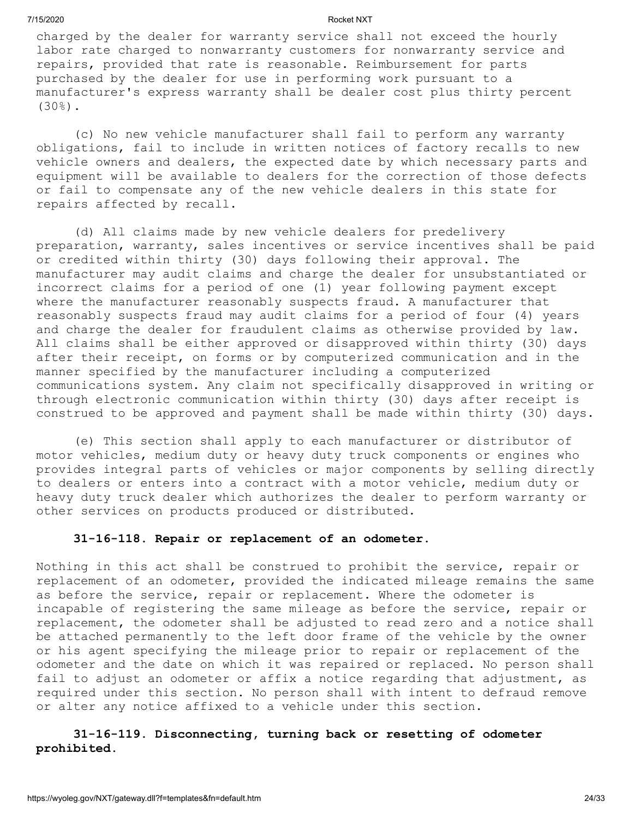charged by the dealer for warranty service shall not exceed the hourly labor rate charged to nonwarranty customers for nonwarranty service and repairs, provided that rate is reasonable. Reimbursement for parts purchased by the dealer for use in performing work pursuant to a manufacturer's express warranty shall be dealer cost plus thirty percent  $(30\%)$ .

(c) No new vehicle manufacturer shall fail to perform any warranty obligations, fail to include in written notices of factory recalls to new vehicle owners and dealers, the expected date by which necessary parts and equipment will be available to dealers for the correction of those defects or fail to compensate any of the new vehicle dealers in this state for repairs affected by recall.

(d) All claims made by new vehicle dealers for predelivery preparation, warranty, sales incentives or service incentives shall be paid or credited within thirty (30) days following their approval. The manufacturer may audit claims and charge the dealer for unsubstantiated or incorrect claims for a period of one (1) year following payment except where the manufacturer reasonably suspects fraud. A manufacturer that reasonably suspects fraud may audit claims for a period of four (4) years and charge the dealer for fraudulent claims as otherwise provided by law. All claims shall be either approved or disapproved within thirty (30) days after their receipt, on forms or by computerized communication and in the manner specified by the manufacturer including a computerized communications system. Any claim not specifically disapproved in writing or through electronic communication within thirty (30) days after receipt is construed to be approved and payment shall be made within thirty (30) days.

(e) This section shall apply to each manufacturer or distributor of motor vehicles, medium duty or heavy duty truck components or engines who provides integral parts of vehicles or major components by selling directly to dealers or enters into a contract with a motor vehicle, medium duty or heavy duty truck dealer which authorizes the dealer to perform warranty or other services on products produced or distributed.

#### **31-16-118. Repair or replacement of an odometer.**

Nothing in this act shall be construed to prohibit the service, repair or replacement of an odometer, provided the indicated mileage remains the same as before the service, repair or replacement. Where the odometer is incapable of registering the same mileage as before the service, repair or replacement, the odometer shall be adjusted to read zero and a notice shall be attached permanently to the left door frame of the vehicle by the owner or his agent specifying the mileage prior to repair or replacement of the odometer and the date on which it was repaired or replaced. No person shall fail to adjust an odometer or affix a notice regarding that adjustment, as required under this section. No person shall with intent to defraud remove or alter any notice affixed to a vehicle under this section.

# **31-16-119. Disconnecting, turning back or resetting of odometer prohibited.**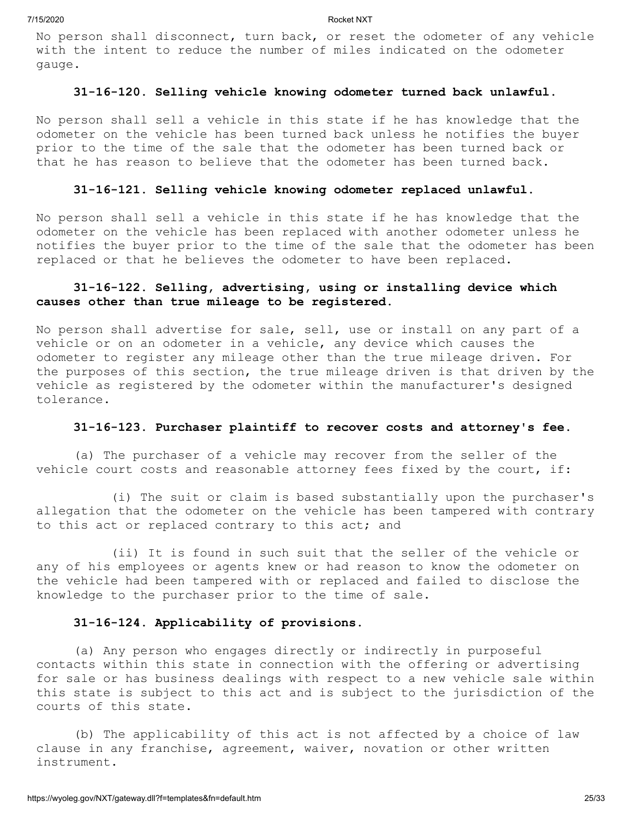No person shall disconnect, turn back, or reset the odometer of any vehicle with the intent to reduce the number of miles indicated on the odometer gauge.

#### **31-16-120. Selling vehicle knowing odometer turned back unlawful.**

No person shall sell a vehicle in this state if he has knowledge that the odometer on the vehicle has been turned back unless he notifies the buyer prior to the time of the sale that the odometer has been turned back or that he has reason to believe that the odometer has been turned back.

#### **31-16-121. Selling vehicle knowing odometer replaced unlawful.**

No person shall sell a vehicle in this state if he has knowledge that the odometer on the vehicle has been replaced with another odometer unless he notifies the buyer prior to the time of the sale that the odometer has been replaced or that he believes the odometer to have been replaced.

# **31-16-122. Selling, advertising, using or installing device which causes other than true mileage to be registered.**

No person shall advertise for sale, sell, use or install on any part of a vehicle or on an odometer in a vehicle, any device which causes the odometer to register any mileage other than the true mileage driven. For the purposes of this section, the true mileage driven is that driven by the vehicle as registered by the odometer within the manufacturer's designed tolerance.

# **31-16-123. Purchaser plaintiff to recover costs and attorney's fee.**

(a) The purchaser of a vehicle may recover from the seller of the vehicle court costs and reasonable attorney fees fixed by the court, if:

(i) The suit or claim is based substantially upon the purchaser's allegation that the odometer on the vehicle has been tampered with contrary to this act or replaced contrary to this act; and

(ii) It is found in such suit that the seller of the vehicle or any of his employees or agents knew or had reason to know the odometer on the vehicle had been tampered with or replaced and failed to disclose the knowledge to the purchaser prior to the time of sale.

#### **31-16-124. Applicability of provisions.**

(a) Any person who engages directly or indirectly in purposeful contacts within this state in connection with the offering or advertising for sale or has business dealings with respect to a new vehicle sale within this state is subject to this act and is subject to the jurisdiction of the courts of this state.

(b) The applicability of this act is not affected by a choice of law clause in any franchise, agreement, waiver, novation or other written instrument.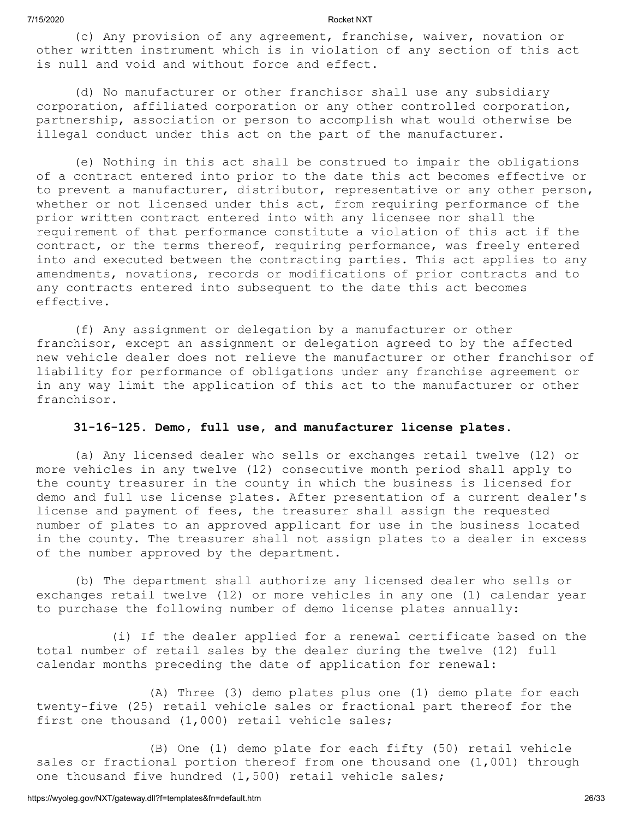(c) Any provision of any agreement, franchise, waiver, novation or other written instrument which is in violation of any section of this act is null and void and without force and effect.

(d) No manufacturer or other franchisor shall use any subsidiary corporation, affiliated corporation or any other controlled corporation, partnership, association or person to accomplish what would otherwise be illegal conduct under this act on the part of the manufacturer.

(e) Nothing in this act shall be construed to impair the obligations of a contract entered into prior to the date this act becomes effective or to prevent a manufacturer, distributor, representative or any other person, whether or not licensed under this act, from requiring performance of the prior written contract entered into with any licensee nor shall the requirement of that performance constitute a violation of this act if the contract, or the terms thereof, requiring performance, was freely entered into and executed between the contracting parties. This act applies to any amendments, novations, records or modifications of prior contracts and to any contracts entered into subsequent to the date this act becomes effective.

(f) Any assignment or delegation by a manufacturer or other franchisor, except an assignment or delegation agreed to by the affected new vehicle dealer does not relieve the manufacturer or other franchisor of liability for performance of obligations under any franchise agreement or in any way limit the application of this act to the manufacturer or other franchisor.

#### **31-16-125. Demo, full use, and manufacturer license plates.**

(a) Any licensed dealer who sells or exchanges retail twelve (12) or more vehicles in any twelve (12) consecutive month period shall apply to the county treasurer in the county in which the business is licensed for demo and full use license plates. After presentation of a current dealer's license and payment of fees, the treasurer shall assign the requested number of plates to an approved applicant for use in the business located in the county. The treasurer shall not assign plates to a dealer in excess of the number approved by the department.

(b) The department shall authorize any licensed dealer who sells or exchanges retail twelve (12) or more vehicles in any one (1) calendar year to purchase the following number of demo license plates annually:

(i) If the dealer applied for a renewal certificate based on the total number of retail sales by the dealer during the twelve (12) full calendar months preceding the date of application for renewal:

(A) Three (3) demo plates plus one (1) demo plate for each twenty-five (25) retail vehicle sales or fractional part thereof for the first one thousand (1,000) retail vehicle sales;

(B) One (1) demo plate for each fifty (50) retail vehicle sales or fractional portion thereof from one thousand one (1,001) through one thousand five hundred (1,500) retail vehicle sales;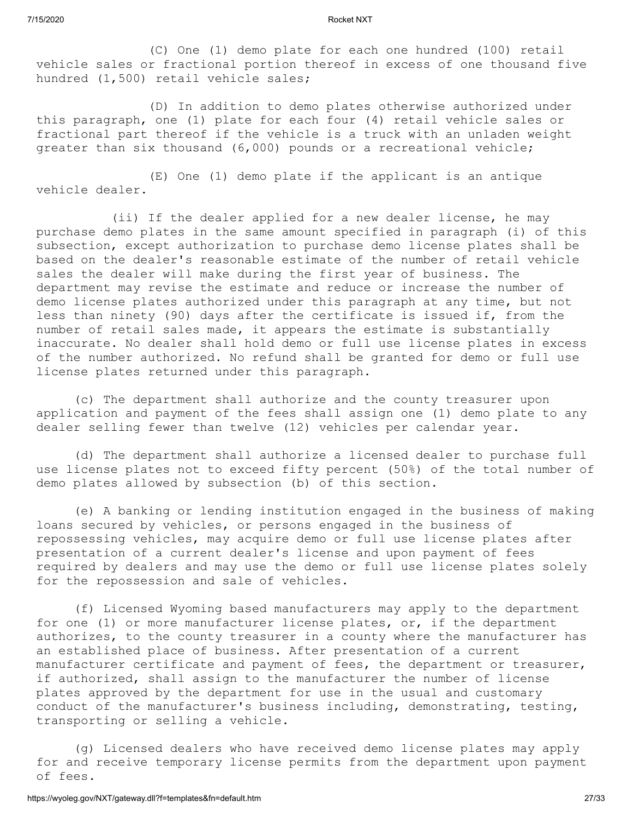(C) One (1) demo plate for each one hundred (100) retail vehicle sales or fractional portion thereof in excess of one thousand five hundred (1,500) retail vehicle sales;

(D) In addition to demo plates otherwise authorized under this paragraph, one (1) plate for each four (4) retail vehicle sales or fractional part thereof if the vehicle is a truck with an unladen weight greater than six thousand (6,000) pounds or a recreational vehicle;

(E) One (1) demo plate if the applicant is an antique vehicle dealer.

(ii) If the dealer applied for a new dealer license, he may purchase demo plates in the same amount specified in paragraph (i) of this subsection, except authorization to purchase demo license plates shall be based on the dealer's reasonable estimate of the number of retail vehicle sales the dealer will make during the first year of business. The department may revise the estimate and reduce or increase the number of demo license plates authorized under this paragraph at any time, but not less than ninety (90) days after the certificate is issued if, from the number of retail sales made, it appears the estimate is substantially inaccurate. No dealer shall hold demo or full use license plates in excess of the number authorized. No refund shall be granted for demo or full use license plates returned under this paragraph.

(c) The department shall authorize and the county treasurer upon application and payment of the fees shall assign one (1) demo plate to any dealer selling fewer than twelve (12) vehicles per calendar year.

(d) The department shall authorize a licensed dealer to purchase full use license plates not to exceed fifty percent (50%) of the total number of demo plates allowed by subsection (b) of this section.

(e) A banking or lending institution engaged in the business of making loans secured by vehicles, or persons engaged in the business of repossessing vehicles, may acquire demo or full use license plates after presentation of a current dealer's license and upon payment of fees required by dealers and may use the demo or full use license plates solely for the repossession and sale of vehicles.

(f) Licensed Wyoming based manufacturers may apply to the department for one (1) or more manufacturer license plates, or, if the department authorizes, to the county treasurer in a county where the manufacturer has an established place of business. After presentation of a current manufacturer certificate and payment of fees, the department or treasurer, if authorized, shall assign to the manufacturer the number of license plates approved by the department for use in the usual and customary conduct of the manufacturer's business including, demonstrating, testing, transporting or selling a vehicle.

(g) Licensed dealers who have received demo license plates may apply for and receive temporary license permits from the department upon payment of fees.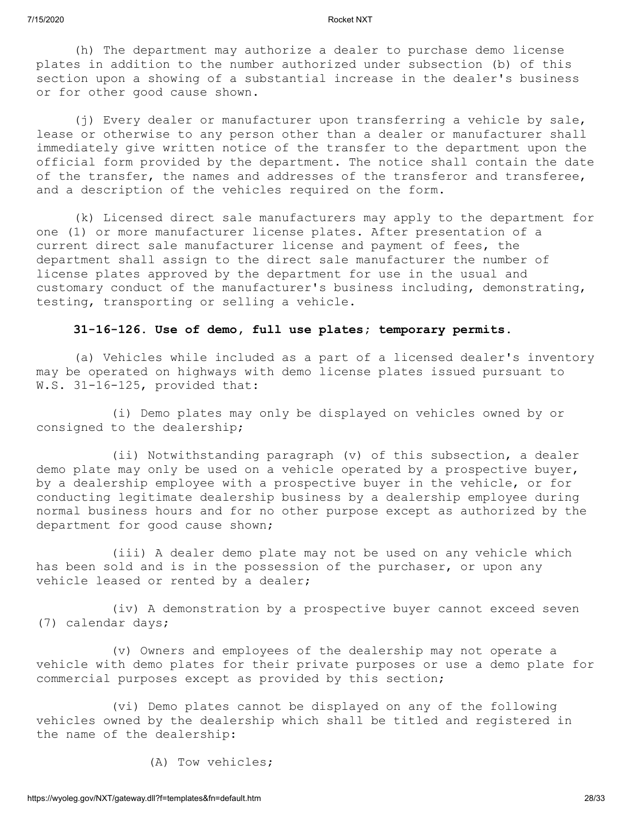(h) The department may authorize a dealer to purchase demo license plates in addition to the number authorized under subsection (b) of this section upon a showing of a substantial increase in the dealer's business or for other good cause shown.

(j) Every dealer or manufacturer upon transferring a vehicle by sale, lease or otherwise to any person other than a dealer or manufacturer shall immediately give written notice of the transfer to the department upon the official form provided by the department. The notice shall contain the date of the transfer, the names and addresses of the transferor and transferee, and a description of the vehicles required on the form.

(k) Licensed direct sale manufacturers may apply to the department for one (1) or more manufacturer license plates. After presentation of a current direct sale manufacturer license and payment of fees, the department shall assign to the direct sale manufacturer the number of license plates approved by the department for use in the usual and customary conduct of the manufacturer's business including, demonstrating, testing, transporting or selling a vehicle.

### **31-16-126. Use of demo, full use plates; temporary permits.**

(a) Vehicles while included as a part of a licensed dealer's inventory may be operated on highways with demo license plates issued pursuant to W.S. 31-16-125, provided that:

(i) Demo plates may only be displayed on vehicles owned by or consigned to the dealership;

(ii) Notwithstanding paragraph (v) of this subsection, a dealer demo plate may only be used on a vehicle operated by a prospective buyer, by a dealership employee with a prospective buyer in the vehicle, or for conducting legitimate dealership business by a dealership employee during normal business hours and for no other purpose except as authorized by the department for good cause shown;

(iii) A dealer demo plate may not be used on any vehicle which has been sold and is in the possession of the purchaser, or upon any vehicle leased or rented by a dealer;

(iv) A demonstration by a prospective buyer cannot exceed seven (7) calendar days;

(v) Owners and employees of the dealership may not operate a vehicle with demo plates for their private purposes or use a demo plate for commercial purposes except as provided by this section;

(vi) Demo plates cannot be displayed on any of the following vehicles owned by the dealership which shall be titled and registered in the name of the dealership:

(A) Tow vehicles;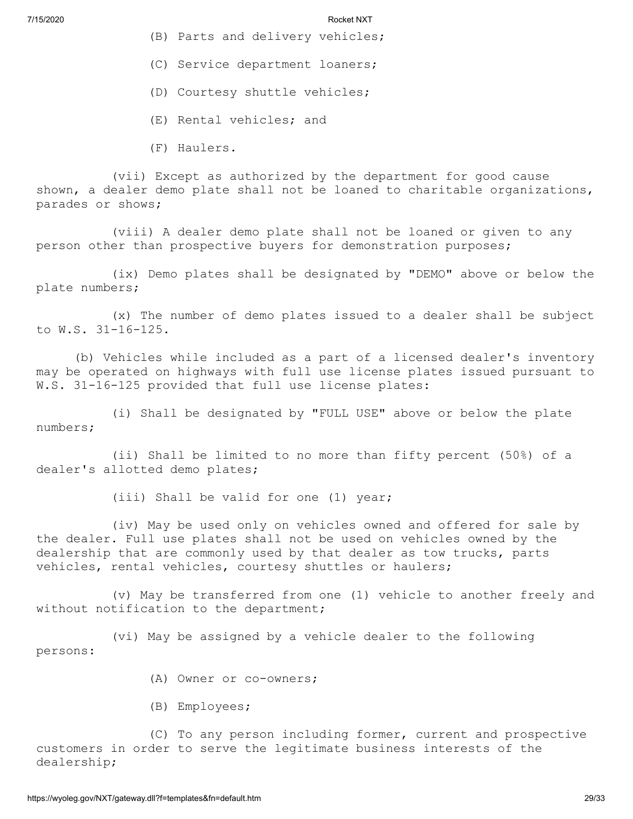- (B) Parts and delivery vehicles;
- (C) Service department loaners;
- (D) Courtesy shuttle vehicles;
- (E) Rental vehicles; and
- (F) Haulers.

(vii) Except as authorized by the department for good cause shown, a dealer demo plate shall not be loaned to charitable organizations, parades or shows;

(viii) A dealer demo plate shall not be loaned or given to any person other than prospective buyers for demonstration purposes;

(ix) Demo plates shall be designated by "DEMO" above or below the plate numbers;

(x) The number of demo plates issued to a dealer shall be subject to W.S. 31-16-125.

(b) Vehicles while included as a part of a licensed dealer's inventory may be operated on highways with full use license plates issued pursuant to W.S. 31-16-125 provided that full use license plates:

(i) Shall be designated by "FULL USE" above or below the plate numbers;

(ii) Shall be limited to no more than fifty percent (50%) of a dealer's allotted demo plates;

(iii) Shall be valid for one (1) year;

(iv) May be used only on vehicles owned and offered for sale by the dealer. Full use plates shall not be used on vehicles owned by the dealership that are commonly used by that dealer as tow trucks, parts vehicles, rental vehicles, courtesy shuttles or haulers;

(v) May be transferred from one (1) vehicle to another freely and without notification to the department;

(vi) May be assigned by a vehicle dealer to the following persons:

- (A) Owner or co-owners;
- (B) Employees;

(C) To any person including former, current and prospective customers in order to serve the legitimate business interests of the dealership;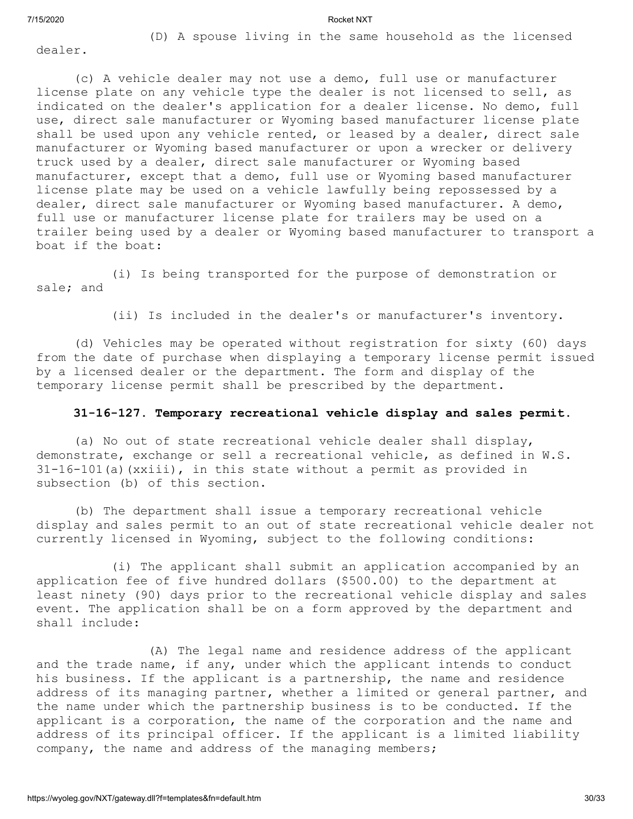(D) A spouse living in the same household as the licensed

dealer.

(c) A vehicle dealer may not use a demo, full use or manufacturer license plate on any vehicle type the dealer is not licensed to sell, as indicated on the dealer's application for a dealer license. No demo, full use, direct sale manufacturer or Wyoming based manufacturer license plate shall be used upon any vehicle rented, or leased by a dealer, direct sale manufacturer or Wyoming based manufacturer or upon a wrecker or delivery truck used by a dealer, direct sale manufacturer or Wyoming based manufacturer, except that a demo, full use or Wyoming based manufacturer license plate may be used on a vehicle lawfully being repossessed by a dealer, direct sale manufacturer or Wyoming based manufacturer. A demo, full use or manufacturer license plate for trailers may be used on a trailer being used by a dealer or Wyoming based manufacturer to transport a boat if the boat:

(i) Is being transported for the purpose of demonstration or sale; and

(ii) Is included in the dealer's or manufacturer's inventory.

(d) Vehicles may be operated without registration for sixty (60) days from the date of purchase when displaying a temporary license permit issued by a licensed dealer or the department. The form and display of the temporary license permit shall be prescribed by the department.

### **31-16-127. Temporary recreational vehicle display and sales permit.**

(a) No out of state recreational vehicle dealer shall display, demonstrate, exchange or sell a recreational vehicle, as defined in W.S. 31-16-101(a)(xxiii), in this state without a permit as provided in subsection (b) of this section.

(b) The department shall issue a temporary recreational vehicle display and sales permit to an out of state recreational vehicle dealer not currently licensed in Wyoming, subject to the following conditions:

(i) The applicant shall submit an application accompanied by an application fee of five hundred dollars (\$500.00) to the department at least ninety (90) days prior to the recreational vehicle display and sales event. The application shall be on a form approved by the department and shall include:

(A) The legal name and residence address of the applicant and the trade name, if any, under which the applicant intends to conduct his business. If the applicant is a partnership, the name and residence address of its managing partner, whether a limited or general partner, and the name under which the partnership business is to be conducted. If the applicant is a corporation, the name of the corporation and the name and address of its principal officer. If the applicant is a limited liability company, the name and address of the managing members;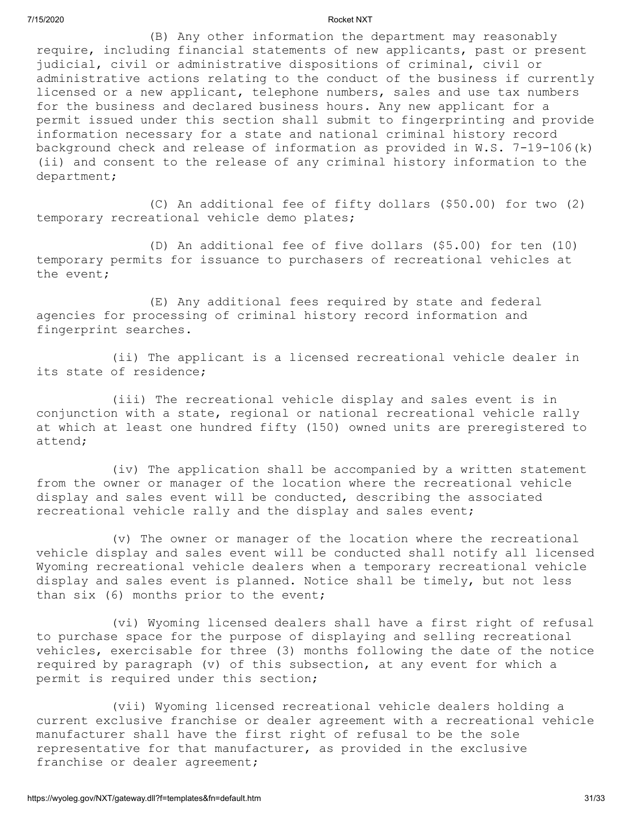(B) Any other information the department may reasonably require, including financial statements of new applicants, past or present judicial, civil or administrative dispositions of criminal, civil or administrative actions relating to the conduct of the business if currently licensed or a new applicant, telephone numbers, sales and use tax numbers for the business and declared business hours. Any new applicant for a permit issued under this section shall submit to fingerprinting and provide information necessary for a state and national criminal history record background check and release of information as provided in W.S. 7-19-106(k) (ii) and consent to the release of any criminal history information to the department;

(C) An additional fee of fifty dollars (\$50.00) for two (2) temporary recreational vehicle demo plates;

(D) An additional fee of five dollars (\$5.00) for ten (10) temporary permits for issuance to purchasers of recreational vehicles at the event;

(E) Any additional fees required by state and federal agencies for processing of criminal history record information and fingerprint searches.

(ii) The applicant is a licensed recreational vehicle dealer in its state of residence;

(iii) The recreational vehicle display and sales event is in conjunction with a state, regional or national recreational vehicle rally at which at least one hundred fifty (150) owned units are preregistered to attend;

(iv) The application shall be accompanied by a written statement from the owner or manager of the location where the recreational vehicle display and sales event will be conducted, describing the associated recreational vehicle rally and the display and sales event;

(v) The owner or manager of the location where the recreational vehicle display and sales event will be conducted shall notify all licensed Wyoming recreational vehicle dealers when a temporary recreational vehicle display and sales event is planned. Notice shall be timely, but not less than six (6) months prior to the event;

(vi) Wyoming licensed dealers shall have a first right of refusal to purchase space for the purpose of displaying and selling recreational vehicles, exercisable for three (3) months following the date of the notice required by paragraph (v) of this subsection, at any event for which a permit is required under this section;

(vii) Wyoming licensed recreational vehicle dealers holding a current exclusive franchise or dealer agreement with a recreational vehicle manufacturer shall have the first right of refusal to be the sole representative for that manufacturer, as provided in the exclusive franchise or dealer agreement;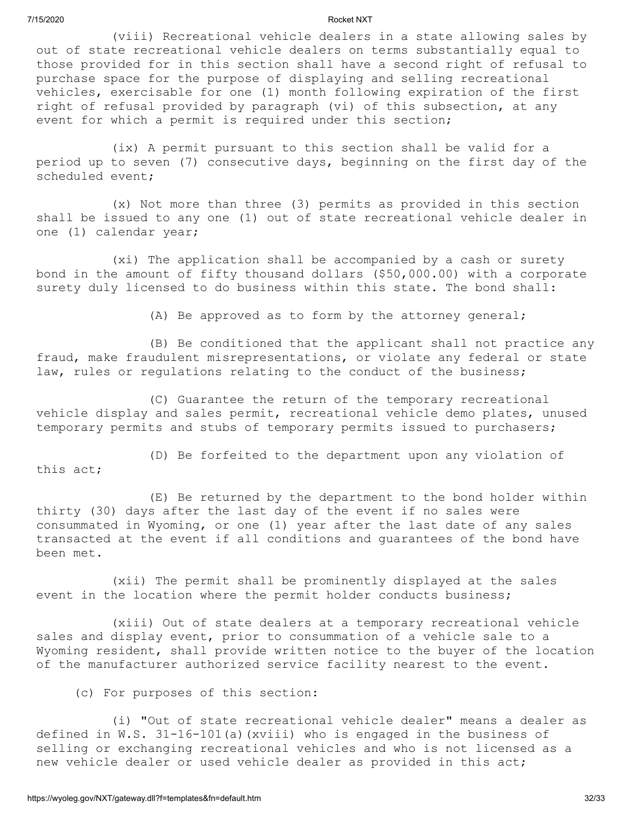(viii) Recreational vehicle dealers in a state allowing sales by out of state recreational vehicle dealers on terms substantially equal to those provided for in this section shall have a second right of refusal to purchase space for the purpose of displaying and selling recreational vehicles, exercisable for one (1) month following expiration of the first right of refusal provided by paragraph (vi) of this subsection, at any event for which a permit is required under this section;

(ix) A permit pursuant to this section shall be valid for a period up to seven (7) consecutive days, beginning on the first day of the scheduled event;

(x) Not more than three (3) permits as provided in this section shall be issued to any one (1) out of state recreational vehicle dealer in one (1) calendar year;

(xi) The application shall be accompanied by a cash or surety bond in the amount of fifty thousand dollars (\$50,000.00) with a corporate surety duly licensed to do business within this state. The bond shall:

(A) Be approved as to form by the attorney general;

(B) Be conditioned that the applicant shall not practice any fraud, make fraudulent misrepresentations, or violate any federal or state law, rules or requlations relating to the conduct of the business;

(C) Guarantee the return of the temporary recreational vehicle display and sales permit, recreational vehicle demo plates, unused temporary permits and stubs of temporary permits issued to purchasers;

(D) Be forfeited to the department upon any violation of this act;

(E) Be returned by the department to the bond holder within thirty (30) days after the last day of the event if no sales were consummated in Wyoming, or one (1) year after the last date of any sales transacted at the event if all conditions and guarantees of the bond have been met.

(xii) The permit shall be prominently displayed at the sales event in the location where the permit holder conducts business;

(xiii) Out of state dealers at a temporary recreational vehicle sales and display event, prior to consummation of a vehicle sale to a Wyoming resident, shall provide written notice to the buyer of the location of the manufacturer authorized service facility nearest to the event.

(c) For purposes of this section:

(i) "Out of state recreational vehicle dealer" means a dealer as defined in W.S. 31-16-101(a)(xviii) who is engaged in the business of selling or exchanging recreational vehicles and who is not licensed as a new vehicle dealer or used vehicle dealer as provided in this act;